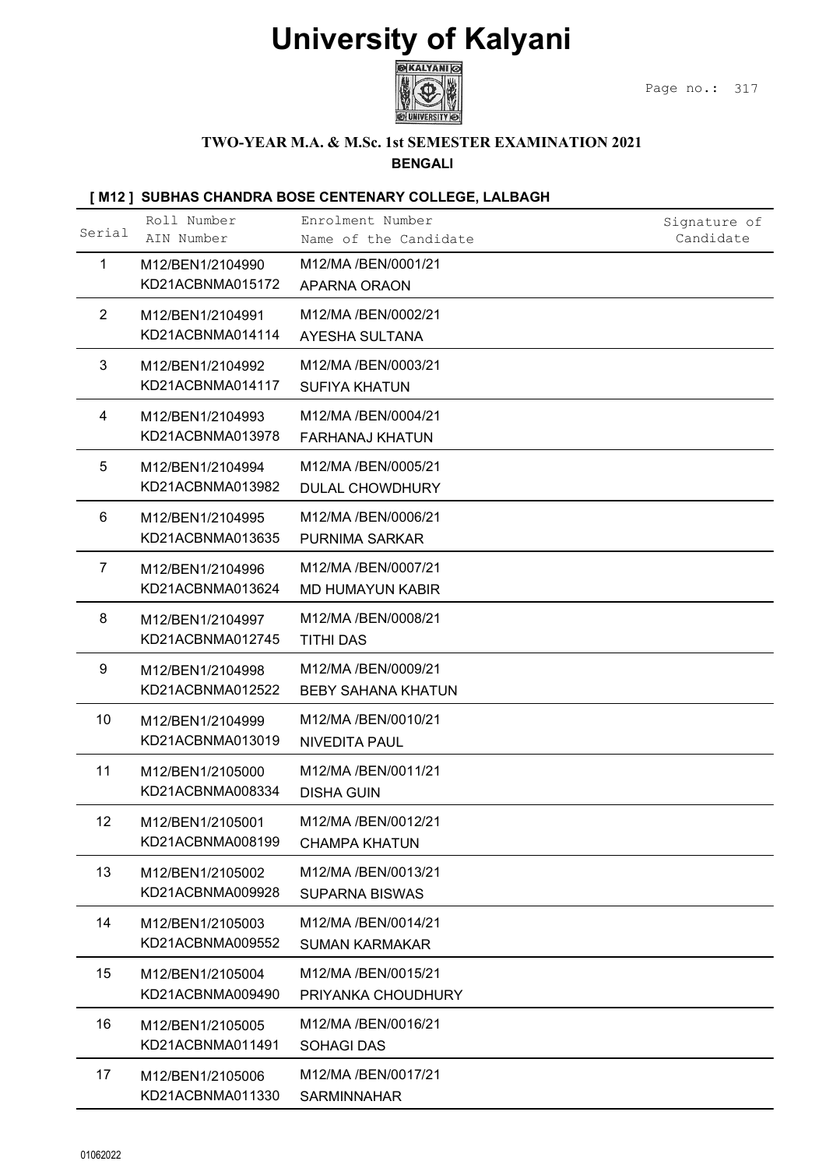

### TWO-YEAR M.A. & M.Sc. 1st SEMESTER EXAMINATION 2021

|                 |                                      | <b>University of Kalyani</b><br>®∣KALYANI ©                           |                           |
|-----------------|--------------------------------------|-----------------------------------------------------------------------|---------------------------|
|                 |                                      |                                                                       | Page no.:<br>317          |
|                 |                                      | TWO-YEAR M.A. & M.Sc. 1st SEMESTER EXAMINATION 2021<br><b>BENGALI</b> |                           |
|                 |                                      | [M12] SUBHAS CHANDRA BOSE CENTENARY COLLEGE, LALBAGH                  |                           |
| Serial          | Roll Number<br>AIN Number            | Enrolment Number<br>Name of the Candidate                             | Signature of<br>Candidate |
| 1               | M12/BEN1/2104990<br>KD21ACBNMA015172 | M12/MA /BEN/0001/21<br>APARNA ORAON                                   |                           |
| $\overline{2}$  | M12/BEN1/2104991<br>KD21ACBNMA014114 | M12/MA /BEN/0002/21<br>AYESHA SULTANA                                 |                           |
| 3               | M12/BEN1/2104992<br>KD21ACBNMA014117 | M12/MA /BEN/0003/21<br><b>SUFIYA KHATUN</b>                           |                           |
| 4               | M12/BEN1/2104993<br>KD21ACBNMA013978 | M12/MA /BEN/0004/21<br><b>FARHANAJ KHATUN</b>                         |                           |
| 5               | M12/BEN1/2104994<br>KD21ACBNMA013982 | M12/MA /BEN/0005/21<br><b>DULAL CHOWDHURY</b>                         |                           |
| 6               | M12/BEN1/2104995<br>KD21ACBNMA013635 | M12/MA /BEN/0006/21<br><b>PURNIMA SARKAR</b>                          |                           |
| $\overline{7}$  | M12/BEN1/2104996<br>KD21ACBNMA013624 | M12/MA /BEN/0007/21<br><b>MD HUMAYUN KABIR</b>                        |                           |
| 8               | M12/BEN1/2104997<br>KD21ACBNMA012745 | M12/MA /BEN/0008/21<br><b>TITHI DAS</b>                               |                           |
| 9               | M12/BEN1/2104998<br>KD21ACBNMA012522 | M12/MA /BEN/0009/21<br><b>BEBY SAHANA KHATUN</b>                      |                           |
| 10 <sup>°</sup> | M12/BEN1/2104999<br>KD21ACBNMA013019 | M12/MA /BEN/0010/21<br><b>NIVEDITA PAUL</b>                           |                           |
| 11              | M12/BEN1/2105000<br>KD21ACBNMA008334 | M12/MA /BEN/0011/21<br><b>DISHA GUIN</b>                              |                           |
| 12              | M12/BEN1/2105001<br>KD21ACBNMA008199 | M12/MA /BEN/0012/21<br><b>CHAMPA KHATUN</b>                           |                           |
| 13              | M12/BEN1/2105002<br>KD21ACBNMA009928 | M12/MA /BEN/0013/21<br><b>SUPARNA BISWAS</b>                          |                           |
| 14              | M12/BEN1/2105003<br>KD21ACBNMA009552 | M12/MA /BEN/0014/21<br><b>SUMAN KARMAKAR</b>                          |                           |
| 15              | M12/BEN1/2105004<br>KD21ACBNMA009490 | M12/MA /BEN/0015/21<br>PRIYANKA CHOUDHURY                             |                           |
| 16              | M12/BEN1/2105005<br>KD21ACBNMA011491 | M12/MA /BEN/0016/21<br><b>SOHAGI DAS</b>                              |                           |
| 17              | M12/BEN1/2105006<br>KD21ACBNMA011330 | M12/MA /BEN/0017/21<br><b>SARMINNAHAR</b>                             |                           |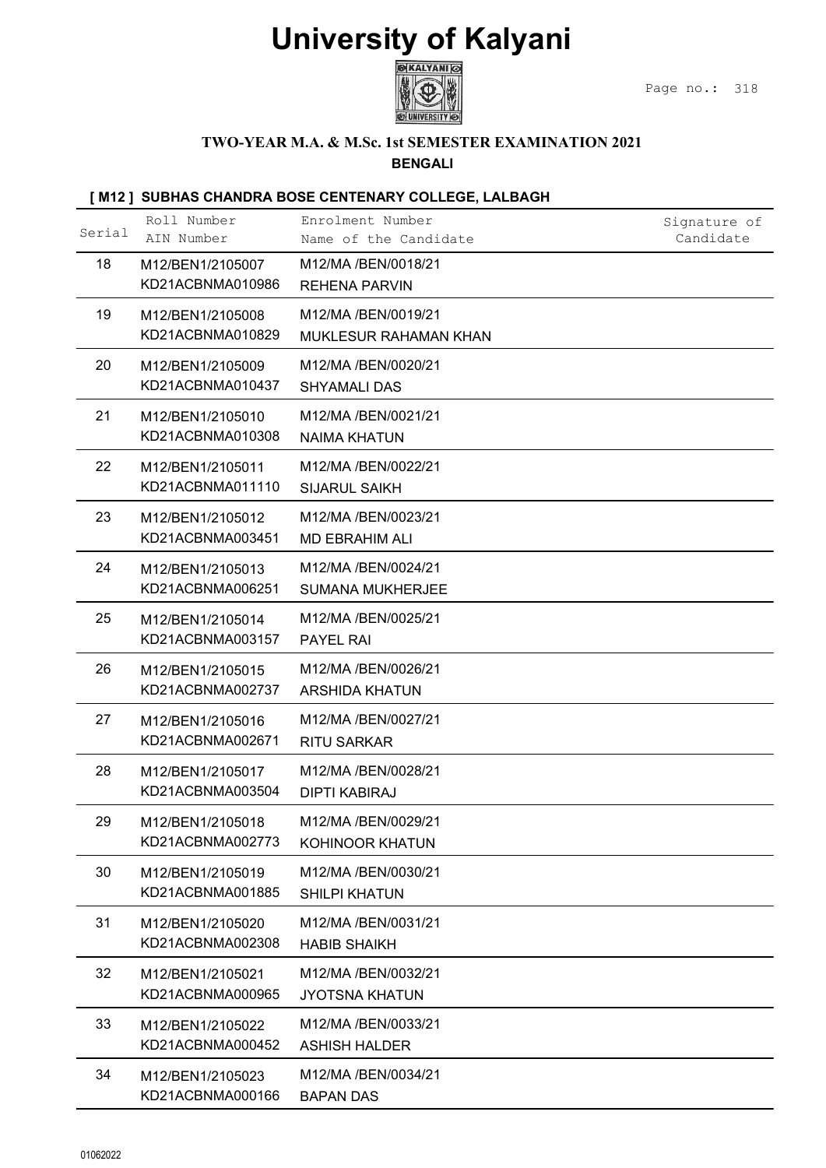

#### TWO-YEAR M.A. & M.Sc. 1st SEMESTER EXAMINATION 2021

|        |                                      | <b>University of Kalyani</b><br><b>EXALYANI</b>                       |                           |
|--------|--------------------------------------|-----------------------------------------------------------------------|---------------------------|
|        |                                      |                                                                       | Page no.:<br>318          |
|        |                                      | TWO-YEAR M.A. & M.Sc. 1st SEMESTER EXAMINATION 2021<br><b>BENGALI</b> |                           |
|        |                                      | [M12] SUBHAS CHANDRA BOSE CENTENARY COLLEGE, LALBAGH                  |                           |
| Serial | Roll Number<br>AIN Number            | Enrolment Number<br>Name of the Candidate                             | Signature of<br>Candidate |
| 18     | M12/BEN1/2105007<br>KD21ACBNMA010986 | M12/MA /BEN/0018/21<br><b>REHENA PARVIN</b>                           |                           |
| 19     | M12/BEN1/2105008<br>KD21ACBNMA010829 | M12/MA /BEN/0019/21<br>MUKLESUR RAHAMAN KHAN                          |                           |
| 20     | M12/BEN1/2105009<br>KD21ACBNMA010437 | M12/MA /BEN/0020/21<br><b>SHYAMALI DAS</b>                            |                           |
| 21     | M12/BEN1/2105010<br>KD21ACBNMA010308 | M12/MA /BEN/0021/21<br><b>NAIMA KHATUN</b>                            |                           |
| 22     | M12/BEN1/2105011<br>KD21ACBNMA011110 | M12/MA /BEN/0022/21<br><b>SIJARUL SAIKH</b>                           |                           |
| 23     | M12/BEN1/2105012<br>KD21ACBNMA003451 | M12/MA /BEN/0023/21<br><b>MD EBRAHIM ALI</b>                          |                           |
| 24     | M12/BEN1/2105013<br>KD21ACBNMA006251 | M12/MA /BEN/0024/21<br><b>SUMANA MUKHERJEE</b>                        |                           |
| 25     | M12/BEN1/2105014<br>KD21ACBNMA003157 | M12/MA /BEN/0025/21<br>PAYEL RAI                                      |                           |
| 26     | M12/BEN1/2105015<br>KD21ACBNMA002737 | M12/MA /BEN/0026/21<br><b>ARSHIDA KHATUN</b>                          |                           |
| 27     | M12/BEN1/2105016<br>KD21ACBNMA002671 | M12/MA /BEN/0027/21<br><b>RITU SARKAR</b>                             |                           |
| 28     | M12/BEN1/2105017<br>KD21ACBNMA003504 | M12/MA /BEN/0028/21<br><b>DIPTI KABIRAJ</b>                           |                           |
| 29     | M12/BEN1/2105018<br>KD21ACBNMA002773 | M12/MA /BEN/0029/21<br>KOHINOOR KHATUN                                |                           |
| 30     | M12/BEN1/2105019<br>KD21ACBNMA001885 | M12/MA /BEN/0030/21<br>SHILPI KHATUN                                  |                           |
| 31     | M12/BEN1/2105020<br>KD21ACBNMA002308 | M12/MA /BEN/0031/21<br><b>HABIB SHAIKH</b>                            |                           |
| 32     | M12/BEN1/2105021<br>KD21ACBNMA000965 | M12/MA /BEN/0032/21<br><b>JYOTSNA KHATUN</b>                          |                           |
| 33     | M12/BEN1/2105022<br>KD21ACBNMA000452 | M12/MA /BEN/0033/21<br><b>ASHISH HALDER</b>                           |                           |
| 34     | M12/BEN1/2105023                     | M12/MA /BEN/0034/21<br><b>BAPAN DAS</b>                               |                           |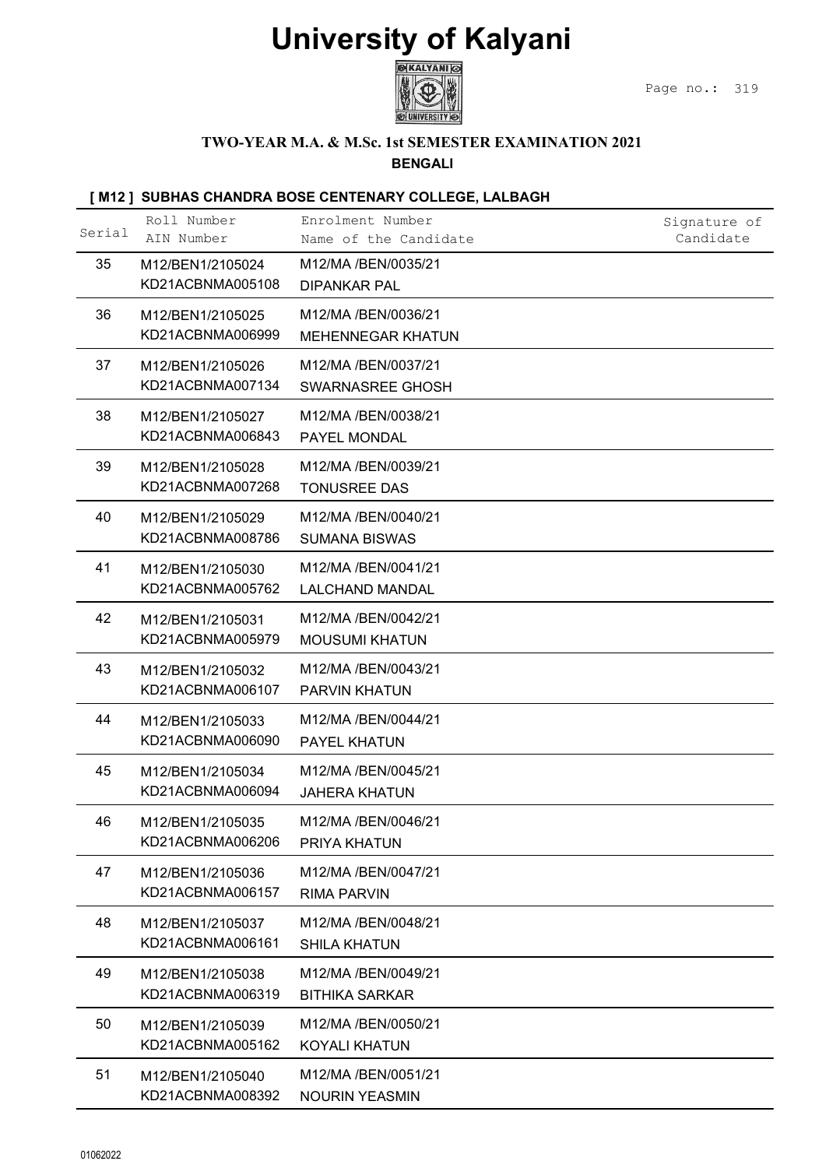

#### TWO-YEAR M.A. & M.Sc. 1st SEMESTER EXAMINATION 2021

|        |                                      | <b>University of Kalyani</b>                                          |                           |
|--------|--------------------------------------|-----------------------------------------------------------------------|---------------------------|
|        |                                      | KALYANI ©                                                             | Page no.:<br>319          |
|        |                                      | TWO-YEAR M.A. & M.Sc. 1st SEMESTER EXAMINATION 2021<br><b>BENGALI</b> |                           |
|        |                                      | [M12] SUBHAS CHANDRA BOSE CENTENARY COLLEGE, LALBAGH                  |                           |
| Serial | Roll Number<br>AIN Number            | Enrolment Number<br>Name of the Candidate                             | Signature of<br>Candidate |
| 35     | M12/BEN1/2105024<br>KD21ACBNMA005108 | M12/MA /BEN/0035/21<br><b>DIPANKAR PAL</b>                            |                           |
| 36     | M12/BEN1/2105025<br>KD21ACBNMA006999 | M12/MA /BEN/0036/21<br>MEHENNEGAR KHATUN                              |                           |
| 37     | M12/BEN1/2105026<br>KD21ACBNMA007134 | M12/MA /BEN/0037/21<br>SWARNASREE GHOSH                               |                           |
| 38     | M12/BEN1/2105027<br>KD21ACBNMA006843 | M12/MA /BEN/0038/21<br>PAYEL MONDAL                                   |                           |
| 39     | M12/BEN1/2105028<br>KD21ACBNMA007268 | M12/MA /BEN/0039/21<br><b>TONUSREE DAS</b>                            |                           |
| 40     | M12/BEN1/2105029<br>KD21ACBNMA008786 | M12/MA /BEN/0040/21                                                   |                           |
| 41     | M12/BEN1/2105030                     | <b>SUMANA BISWAS</b><br>M12/MA /BEN/0041/21                           |                           |
| 42     | KD21ACBNMA005762<br>M12/BEN1/2105031 | <b>LALCHAND MANDAL</b><br>M12/MA /BEN/0042/21                         |                           |
| 43     | KD21ACBNMA005979<br>M12/BEN1/2105032 | <b>MOUSUMI KHATUN</b><br>M12/MA /BEN/0043/21                          |                           |
|        | KD21ACBNMA006107                     | <b>PARVIN KHATUN</b>                                                  |                           |
| 44     | M12/BEN1/2105033<br>KD21ACBNMA006090 | M12/MA /BEN/0044/21<br>PAYEL KHATUN                                   |                           |
| 45     | M12/BEN1/2105034<br>KD21ACBNMA006094 | M12/MA /BEN/0045/21<br><b>JAHERA KHATUN</b>                           |                           |
| 46     | M12/BEN1/2105035<br>KD21ACBNMA006206 | M12/MA /BEN/0046/21<br>PRIYA KHATUN                                   |                           |
| 47     | M12/BEN1/2105036<br>KD21ACBNMA006157 | M12/MA /BEN/0047/21<br><b>RIMA PARVIN</b>                             |                           |
| 48     | M12/BEN1/2105037<br>KD21ACBNMA006161 | M12/MA /BEN/0048/21<br><b>SHILA KHATUN</b>                            |                           |
| 49     | M12/BEN1/2105038<br>KD21ACBNMA006319 | M12/MA /BEN/0049/21                                                   |                           |
| 50     | M12/BEN1/2105039                     | <b>BITHIKA SARKAR</b><br>M12/MA /BEN/0050/21                          |                           |
| 51     | KD21ACBNMA005162<br>M12/BEN1/2105040 | <b>KOYALI KHATUN</b><br>M12/MA /BEN/0051/21                           |                           |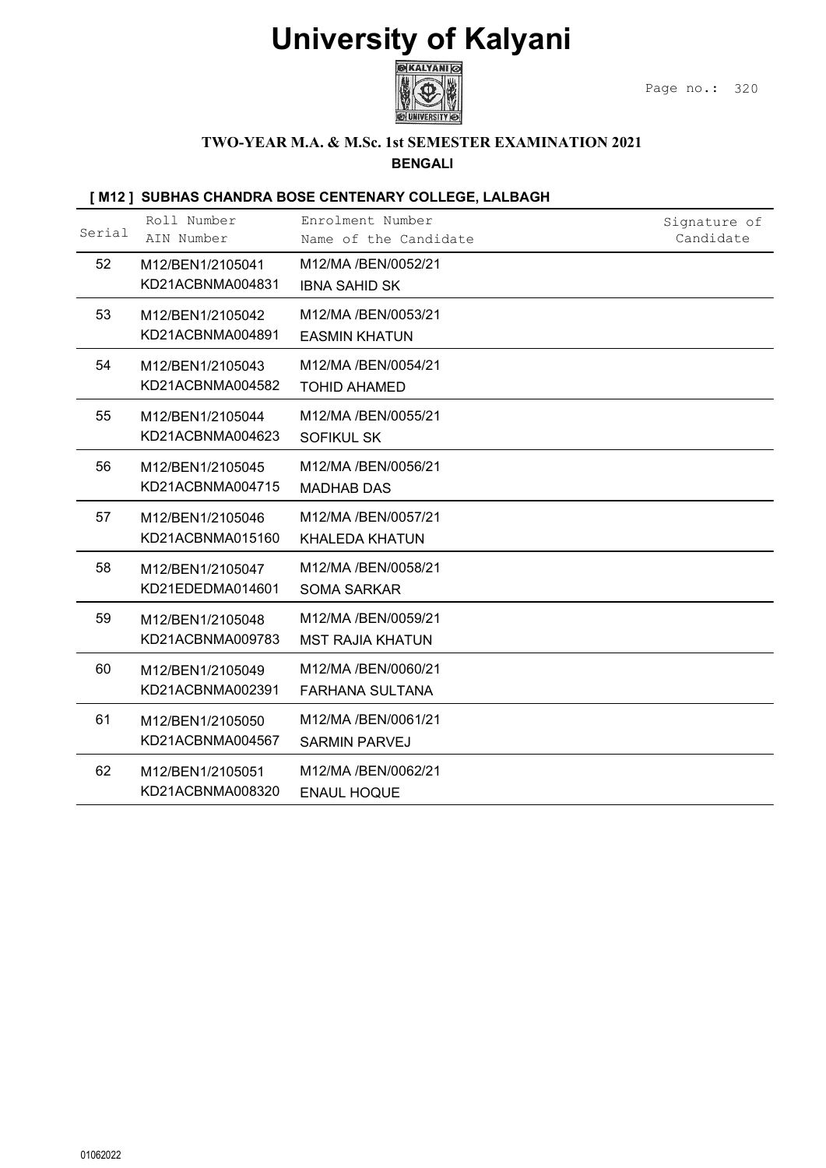

#### TWO-YEAR M.A. & M.Sc. 1st SEMESTER EXAMINATION 2021

|        |                                      | <b>University of Kalyani</b><br><b>BEXALYANI</b>                      | Page no.:<br>320          |
|--------|--------------------------------------|-----------------------------------------------------------------------|---------------------------|
|        |                                      | TWO-YEAR M.A. & M.Sc. 1st SEMESTER EXAMINATION 2021<br><b>BENGALI</b> |                           |
|        |                                      | [M12] SUBHAS CHANDRA BOSE CENTENARY COLLEGE, LALBAGH                  |                           |
| Serial | Roll Number<br>AIN Number            | Enrolment Number<br>Name of the Candidate                             | Signature of<br>Candidate |
| 52     | M12/BEN1/2105041<br>KD21ACBNMA004831 | M12/MA /BEN/0052/21<br><b>IBNA SAHID SK</b>                           |                           |
| 53     | M12/BEN1/2105042<br>KD21ACBNMA004891 | M12/MA /BEN/0053/21<br><b>EASMIN KHATUN</b>                           |                           |
| 54     | M12/BEN1/2105043<br>KD21ACBNMA004582 | M12/MA /BEN/0054/21<br><b>TOHID AHAMED</b>                            |                           |
| 55     | M12/BEN1/2105044<br>KD21ACBNMA004623 | M12/MA /BEN/0055/21<br><b>SOFIKUL SK</b>                              |                           |
| 56     | M12/BEN1/2105045<br>KD21ACBNMA004715 | M12/MA /BEN/0056/21<br><b>MADHAB DAS</b>                              |                           |
| 57     | M12/BEN1/2105046<br>KD21ACBNMA015160 | M12/MA /BEN/0057/21<br><b>KHALEDA KHATUN</b>                          |                           |
| 58     | M12/BEN1/2105047<br>KD21EDEDMA014601 | M12/MA /BEN/0058/21<br>SOMA SARKAR                                    |                           |
| 59     | M12/BEN1/2105048<br>KD21ACBNMA009783 | M12/MA /BEN/0059/21<br><b>MST RAJIA KHATUN</b>                        |                           |
| 60     | M12/BEN1/2105049<br>KD21ACBNMA002391 | M12/MA /BEN/0060/21<br><b>FARHANA SULTANA</b>                         |                           |
| 61     | M12/BEN1/2105050<br>KD21ACBNMA004567 | M12/MA /BEN/0061/21<br><b>SARMIN PARVEJ</b>                           |                           |
| 62     | M12/BEN1/2105051<br>KD21ACBNMA008320 | M12/MA /BEN/0062/21<br><b>ENAUL HOQUE</b>                             |                           |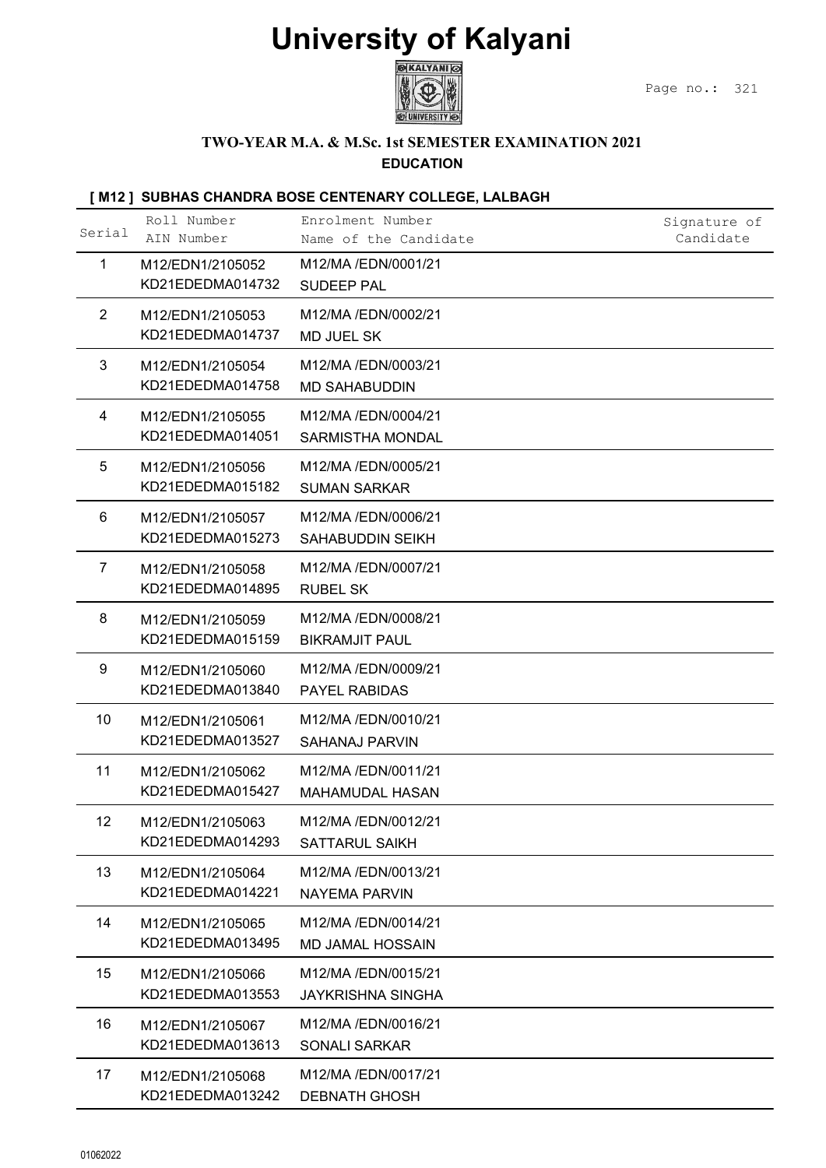

#### TWO-YEAR M.A. & M.Sc. 1st SEMESTER EXAMINATION 2021 EDUCATION

|                 |                                      | <b>University of Kalyani</b>                                            |                           |
|-----------------|--------------------------------------|-------------------------------------------------------------------------|---------------------------|
|                 |                                      | <b>KALYANI</b>                                                          | Page no.:<br>321          |
|                 |                                      | TWO-YEAR M.A. & M.Sc. 1st SEMESTER EXAMINATION 2021<br><b>EDUCATION</b> |                           |
|                 |                                      | [M12] SUBHAS CHANDRA BOSE CENTENARY COLLEGE, LALBAGH                    |                           |
| Serial          | Roll Number<br>AIN Number            | Enrolment Number<br>Name of the Candidate                               | Signature of<br>Candidate |
| 1               | M12/EDN1/2105052<br>KD21EDEDMA014732 | M12/MA/EDN/0001/21<br><b>SUDEEP PAL</b>                                 |                           |
| 2               | M12/EDN1/2105053<br>KD21EDEDMA014737 | M12/MA/EDN/0002/21<br><b>MD JUEL SK</b>                                 |                           |
| 3               | M12/EDN1/2105054<br>KD21EDEDMA014758 | M12/MA /EDN/0003/21<br><b>MD SAHABUDDIN</b>                             |                           |
| 4               | M12/EDN1/2105055<br>KD21EDEDMA014051 | M12/MA /EDN/0004/21<br><b>SARMISTHA MONDAL</b>                          |                           |
| 5               | M12/EDN1/2105056<br>KD21EDEDMA015182 | M12/MA /EDN/0005/21<br><b>SUMAN SARKAR</b>                              |                           |
| 6               | M12/EDN1/2105057<br>KD21EDEDMA015273 | M12/MA /EDN/0006/21<br>SAHABUDDIN SEIKH                                 |                           |
| $\overline{7}$  | M12/EDN1/2105058<br>KD21EDEDMA014895 | M12/MA /EDN/0007/21<br><b>RUBEL SK</b>                                  |                           |
| 8               | M12/EDN1/2105059<br>KD21EDEDMA015159 | M12/MA /EDN/0008/21<br><b>BIKRAMJIT PAUL</b>                            |                           |
| 9               | M12/EDN1/2105060<br>KD21EDEDMA013840 | M12/MA/EDN/0009/21<br>PAYEL RABIDAS                                     |                           |
| 10 <sup>°</sup> | M12/EDN1/2105061<br>KD21EDEDMA013527 | M12/MA /EDN/0010/21<br><b>SAHANAJ PARVIN</b>                            |                           |
| 11              | M12/EDN1/2105062<br>KD21EDEDMA015427 | M12/MA /EDN/0011/21<br>MAHAMUDAL HASAN                                  |                           |
| 12              | M12/EDN1/2105063<br>KD21EDEDMA014293 | M12/MA /EDN/0012/21<br><b>SATTARUL SAIKH</b>                            |                           |
| 13              | M12/EDN1/2105064<br>KD21EDEDMA014221 | M12/MA /EDN/0013/21<br><b>NAYEMA PARVIN</b>                             |                           |
| 14              | M12/EDN1/2105065<br>KD21EDEDMA013495 | M12/MA /EDN/0014/21<br><b>MD JAMAL HOSSAIN</b>                          |                           |
| 15              | M12/EDN1/2105066<br>KD21EDEDMA013553 | M12/MA /EDN/0015/21<br><b>JAYKRISHNA SINGHA</b>                         |                           |
| 16              | M12/EDN1/2105067<br>KD21EDEDMA013613 | M12/MA /EDN/0016/21<br><b>SONALI SARKAR</b>                             |                           |
| 17              | M12/EDN1/2105068<br>KD21EDEDMA013242 | M12/MA /EDN/0017/21<br><b>DEBNATH GHOSH</b>                             |                           |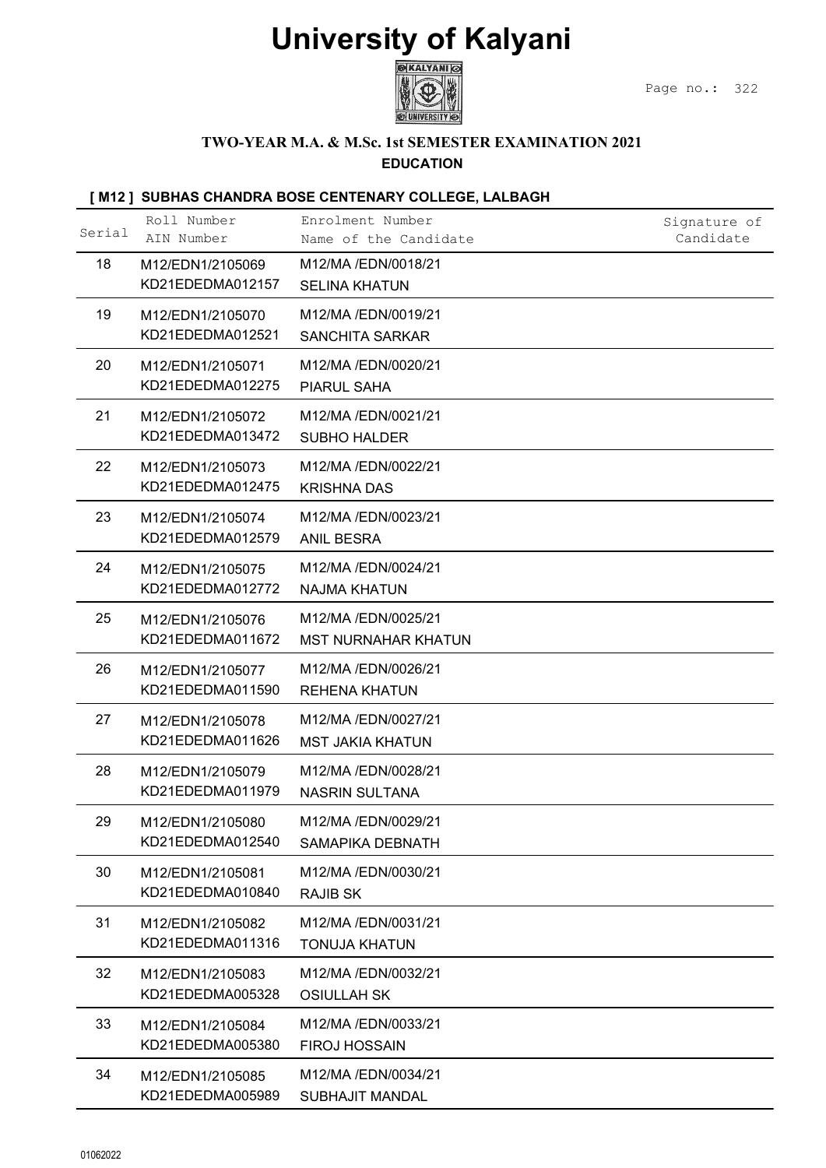

### TWO-YEAR M.A. & M.Sc. 1st SEMESTER EXAMINATION 2021

### EDUCATION

|          |                                      | <b>University of Kalyani</b><br><b>GKALYANI</b>                         | Page no.: 322 |
|----------|--------------------------------------|-------------------------------------------------------------------------|---------------|
|          |                                      | TWO-YEAR M.A. & M.Sc. 1st SEMESTER EXAMINATION 2021<br><b>EDUCATION</b> |               |
|          |                                      | [M12] SUBHAS CHANDRA BOSE CENTENARY COLLEGE, LALBAGH                    |               |
|          | Roll Number                          | Enrolment Number                                                        | Signature of  |
| Serial   | AIN Number                           | Name of the Candidate                                                   | Candidate     |
| 18       | M12/EDN1/2105069<br>KD21EDEDMA012157 | M12/MA /EDN/0018/21<br><b>SELINA KHATUN</b>                             |               |
| 19       | M12/EDN1/2105070<br>KD21EDEDMA012521 | M12/MA /EDN/0019/21<br><b>SANCHITA SARKAR</b>                           |               |
| 20       | M12/EDN1/2105071<br>KD21EDEDMA012275 | M12/MA /EDN/0020/21<br>PIARUL SAHA                                      |               |
| 21       | M12/EDN1/2105072<br>KD21EDEDMA013472 | M12/MA /EDN/0021/21<br><b>SUBHO HALDER</b>                              |               |
| 22       | M12/EDN1/2105073<br>KD21EDEDMA012475 | M12/MA /EDN/0022/21<br><b>KRISHNA DAS</b>                               |               |
| 23       | M12/EDN1/2105074<br>KD21EDEDMA012579 | M12/MA /EDN/0023/21<br><b>ANIL BESRA</b>                                |               |
| 24       | M12/EDN1/2105075<br>KD21EDEDMA012772 | M12/MA /EDN/0024/21<br><b>NAJMA KHATUN</b>                              |               |
| 25       | M12/EDN1/2105076<br>KD21EDEDMA011672 | M12/MA /EDN/0025/21<br><b>MST NURNAHAR KHATUN</b>                       |               |
| 26       | M12/EDN1/2105077<br>KD21EDEDMA011590 | M12/MA /EDN/0026/21<br><b>REHENA KHATUN</b>                             |               |
| 27       | M12/EDN1/2105078<br>KD21EDEDMA011626 | M12/MA /EDN/0027/21<br><b>MST JAKIA KHATUN</b>                          |               |
| 28       | M12/EDN1/2105079<br>KD21EDEDMA011979 | M12/MA /EDN/0028/21<br><b>NASRIN SULTANA</b>                            |               |
| 29       | M12/EDN1/2105080<br>KD21EDEDMA012540 | M12/MA /EDN/0029/21<br>SAMAPIKA DEBNATH                                 |               |
| 30       | M12/EDN1/2105081<br>KD21EDEDMA010840 | M12/MA /EDN/0030/21<br><b>RAJIB SK</b>                                  |               |
| 31       | M12/EDN1/2105082<br>KD21EDEDMA011316 | M12/MA /EDN/0031/21<br><b>TONUJA KHATUN</b>                             |               |
| 32       | M12/EDN1/2105083<br>KD21EDEDMA005328 | M12/MA /EDN/0032/21<br><b>OSIULLAH SK</b>                               |               |
| 33       | M12/EDN1/2105084<br>KD21EDEDMA005380 | M12/MA /EDN/0033/21<br><b>FIROJ HOSSAIN</b>                             |               |
| 34       | M12/EDN1/2105085<br>KD21EDEDMA005989 | M12/MA /EDN/0034/21<br><b>SUBHAJIT MANDAL</b>                           |               |
| 01062022 |                                      |                                                                         |               |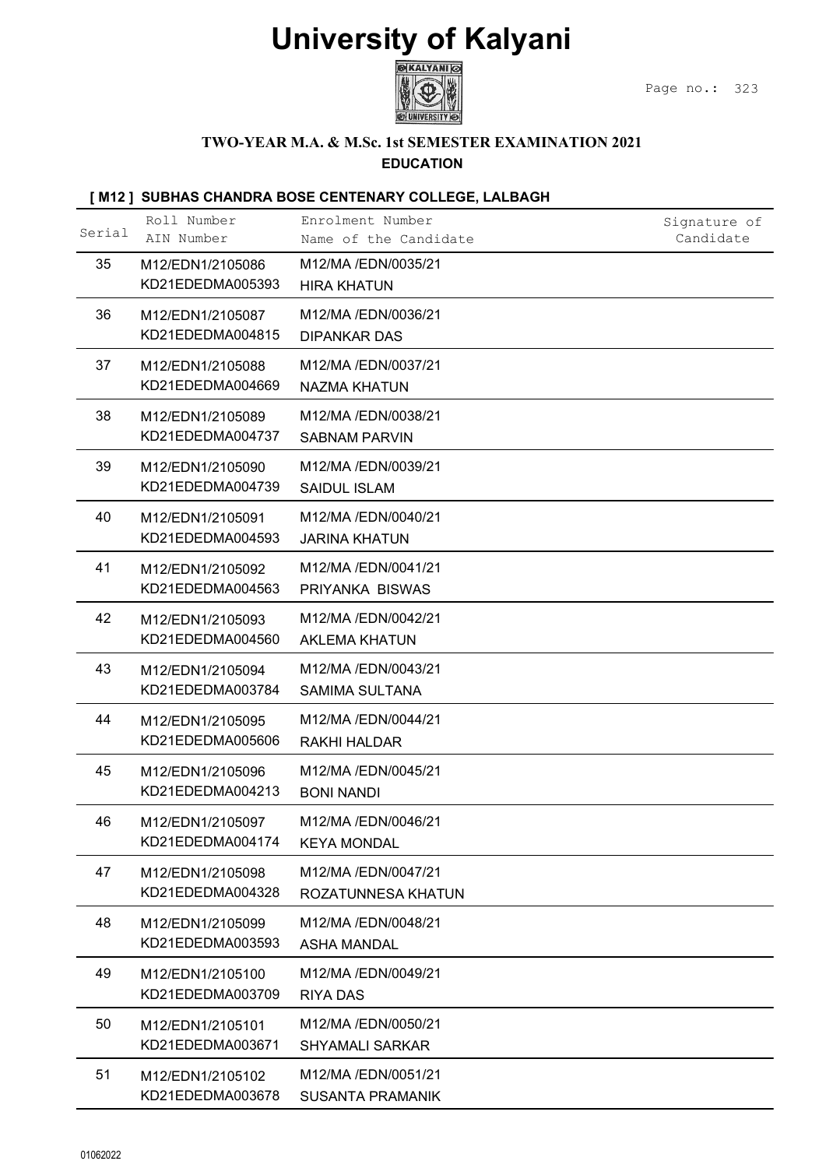

#### TWO-YEAR M.A. & M.Sc. 1st SEMESTER EXAMINATION 2021 EDUCATION

|        |                                      | <b>University of Kalyani</b><br>KALYANI ©                               | Page no.:<br>323          |
|--------|--------------------------------------|-------------------------------------------------------------------------|---------------------------|
|        |                                      | TWO-YEAR M.A. & M.Sc. 1st SEMESTER EXAMINATION 2021<br><b>EDUCATION</b> |                           |
|        |                                      | [M12] SUBHAS CHANDRA BOSE CENTENARY COLLEGE, LALBAGH                    |                           |
| Serial | Roll Number<br>AIN Number            | Enrolment Number<br>Name of the Candidate                               | Signature of<br>Candidate |
| 35     | M12/EDN1/2105086<br>KD21EDEDMA005393 | M12/MA /EDN/0035/21<br><b>HIRA KHATUN</b>                               |                           |
| 36     | M12/EDN1/2105087<br>KD21EDEDMA004815 | M12/MA /EDN/0036/21<br><b>DIPANKAR DAS</b>                              |                           |
| 37     | M12/EDN1/2105088<br>KD21EDEDMA004669 | M12/MA /EDN/0037/21<br><b>NAZMA KHATUN</b>                              |                           |
| 38     | M12/EDN1/2105089<br>KD21EDEDMA004737 | M12/MA /EDN/0038/21<br><b>SABNAM PARVIN</b>                             |                           |
| 39     | M12/EDN1/2105090<br>KD21EDEDMA004739 | M12/MA /EDN/0039/21<br><b>SAIDUL ISLAM</b>                              |                           |
| 40     | M12/EDN1/2105091<br>KD21EDEDMA004593 | M12/MA /EDN/0040/21<br><b>JARINA KHATUN</b>                             |                           |
| 41     | M12/EDN1/2105092<br>KD21EDEDMA004563 | M12/MA /EDN/0041/21<br>PRIYANKA BISWAS                                  |                           |
| 42     | M12/EDN1/2105093<br>KD21EDEDMA004560 | M12/MA /EDN/0042/21<br><b>AKLEMA KHATUN</b>                             |                           |
| 43     | M12/EDN1/2105094<br>KD21EDEDMA003784 | M12/MA /EDN/0043/21<br><b>SAMIMA SULTANA</b>                            |                           |
| 44     | M12/EDN1/2105095<br>KD21EDEDMA005606 | M12/MA /EDN/0044/21<br><b>RAKHI HALDAR</b>                              |                           |
| 45     | M12/EDN1/2105096<br>KD21EDEDMA004213 | M12/MA /EDN/0045/21<br><b>BONI NANDI</b>                                |                           |
| 46     | M12/EDN1/2105097<br>KD21EDEDMA004174 | M12/MA /EDN/0046/21<br><b>KEYA MONDAL</b>                               |                           |
| 47     | M12/EDN1/2105098<br>KD21EDEDMA004328 | M12/MA /EDN/0047/21<br>ROZATUNNESA KHATUN                               |                           |
| 48     | M12/EDN1/2105099<br>KD21EDEDMA003593 | M12/MA /EDN/0048/21<br><b>ASHA MANDAL</b>                               |                           |
| 49     | M12/EDN1/2105100<br>KD21EDEDMA003709 | M12/MA /EDN/0049/21<br><b>RIYA DAS</b>                                  |                           |
| 50     | M12/EDN1/2105101<br>KD21EDEDMA003671 | M12/MA /EDN/0050/21<br><b>SHYAMALI SARKAR</b>                           |                           |
| 51     | M12/EDN1/2105102                     | M12/MA /EDN/0051/21<br><b>SUSANTA PRAMANIK</b>                          |                           |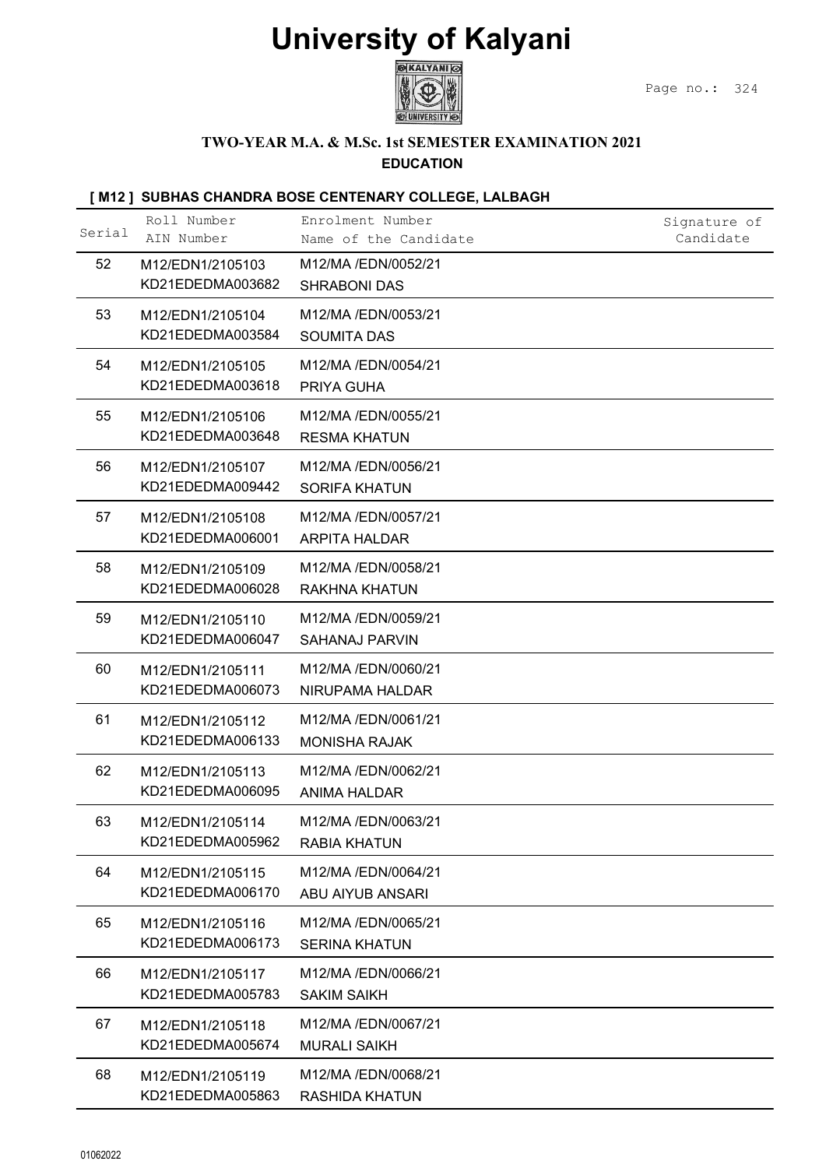

#### TWO-YEAR M.A. & M.Sc. 1st SEMESTER EXAMINATION 2021 EDUCATION

|        |                                      | <b>University of Kalyani</b>                                            |                           |
|--------|--------------------------------------|-------------------------------------------------------------------------|---------------------------|
|        |                                      |                                                                         | Page no.:<br>324          |
|        |                                      | TWO-YEAR M.A. & M.Sc. 1st SEMESTER EXAMINATION 2021<br><b>EDUCATION</b> |                           |
|        |                                      | [M12] SUBHAS CHANDRA BOSE CENTENARY COLLEGE, LALBAGH                    |                           |
| Serial | Roll Number<br>AIN Number            | Enrolment Number<br>Name of the Candidate                               | Signature of<br>Candidate |
| 52     | M12/EDN1/2105103<br>KD21EDEDMA003682 | M12/MA /EDN/0052/21<br><b>SHRABONI DAS</b>                              |                           |
| 53     | M12/EDN1/2105104<br>KD21EDEDMA003584 | M12/MA /EDN/0053/21<br><b>SOUMITA DAS</b>                               |                           |
| 54     | M12/EDN1/2105105<br>KD21EDEDMA003618 | M12/MA /EDN/0054/21<br>PRIYA GUHA                                       |                           |
| 55     | M12/EDN1/2105106<br>KD21EDEDMA003648 | M12/MA /EDN/0055/21<br><b>RESMA KHATUN</b>                              |                           |
| 56     | M12/EDN1/2105107<br>KD21EDEDMA009442 | M12/MA /EDN/0056/21<br><b>SORIFA KHATUN</b>                             |                           |
| 57     | M12/EDN1/2105108<br>KD21EDEDMA006001 | M12/MA /EDN/0057/21<br><b>ARPITA HALDAR</b>                             |                           |
| 58     | M12/EDN1/2105109<br>KD21EDEDMA006028 | M12/MA /EDN/0058/21<br><b>RAKHNA KHATUN</b>                             |                           |
| 59     | M12/EDN1/2105110<br>KD21EDEDMA006047 | M12/MA /EDN/0059/21<br><b>SAHANAJ PARVIN</b>                            |                           |
| 60     | M12/EDN1/2105111<br>KD21EDEDMA006073 | M12/MA /EDN/0060/21<br>NIRUPAMA HALDAR                                  |                           |
| 61     | M12/EDN1/2105112<br>KD21EDEDMA006133 | M12/MA /EDN/0061/21<br><b>MONISHA RAJAK</b>                             |                           |
| 62     | M12/EDN1/2105113<br>KD21EDEDMA006095 | M12/MA /EDN/0062/21<br><b>ANIMA HALDAR</b>                              |                           |
| 63     | M12/EDN1/2105114<br>KD21EDEDMA005962 | M12/MA /EDN/0063/21<br><b>RABIA KHATUN</b>                              |                           |
| 64     | M12/EDN1/2105115<br>KD21EDEDMA006170 | M12/MA /EDN/0064/21<br>ABU AIYUB ANSARI                                 |                           |
| 65     | M12/EDN1/2105116<br>KD21EDEDMA006173 | M12/MA /EDN/0065/21<br><b>SERINA KHATUN</b>                             |                           |
| 66     | M12/EDN1/2105117<br>KD21EDEDMA005783 | M12/MA /EDN/0066/21<br><b>SAKIM SAIKH</b>                               |                           |
| 67     | M12/EDN1/2105118<br>KD21EDEDMA005674 | M12/MA /EDN/0067/21<br><b>MURALI SAIKH</b>                              |                           |
| 68     | M12/EDN1/2105119<br>KD21EDEDMA005863 | M12/MA /EDN/0068/21<br><b>RASHIDA KHATUN</b>                            |                           |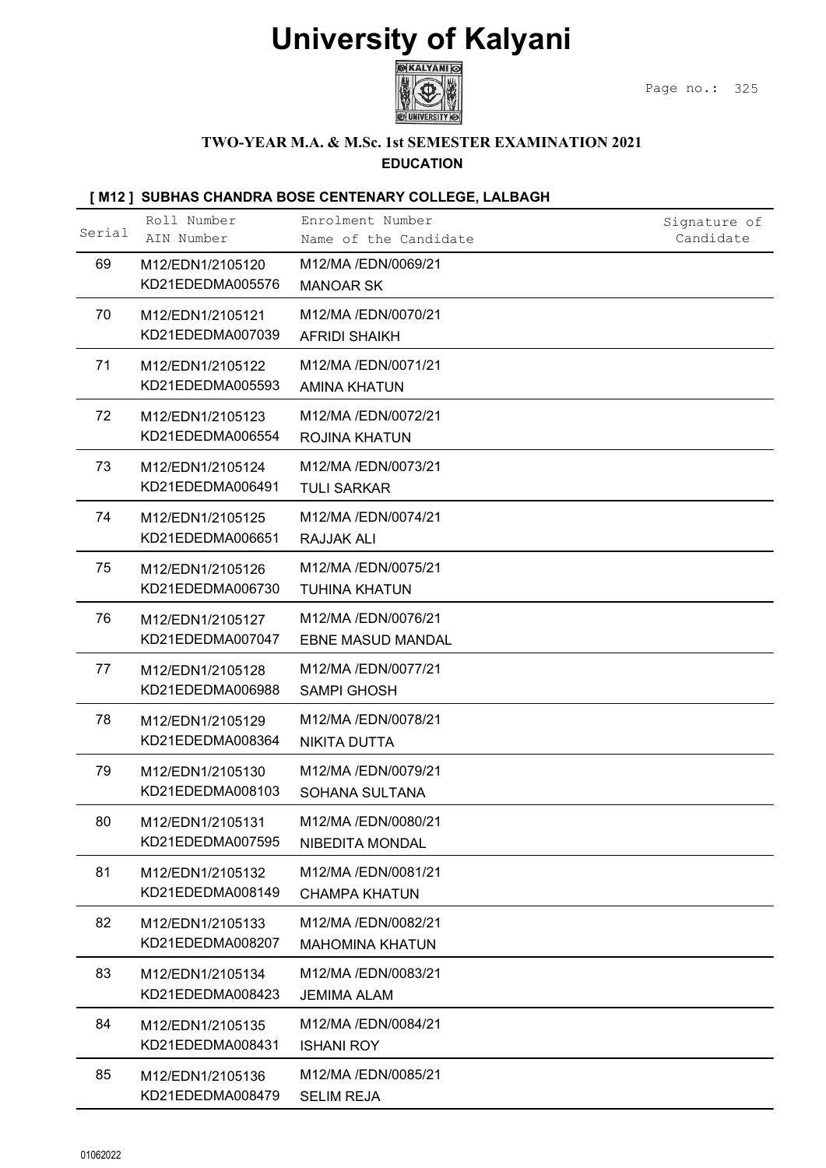

#### TWO-YEAR M.A. & M.Sc. 1st SEMESTER EXAMINATION 2021 EDUCATION

| <b>University of Kalyani</b><br><b>EXALYANI</b><br>Page no.:<br>325<br>TWO-YEAR M.A. & M.Sc. 1st SEMESTER EXAMINATION 2021<br><b>EDUCATION</b><br>[M12] SUBHAS CHANDRA BOSE CENTENARY COLLEGE, LALBAGH<br>Roll Number<br>Enrolment Number<br>Signature of<br>Serial<br>AIN Number<br>Candidate<br>Name of the Candidate<br>69<br>M12/MA /EDN/0069/21<br>M12/EDN1/2105120<br>KD21EDEDMA005576<br><b>MANOAR SK</b><br>70<br>M12/MA/EDN/0070/21<br>M12/EDN1/2105121<br>KD21EDEDMA007039<br><b>AFRIDI SHAIKH</b><br>71<br>M12/MA /EDN/0071/21<br>M12/EDN1/2105122<br>KD21EDEDMA005593<br><b>AMINA KHATUN</b><br>72<br>M12/MA /EDN/0072/21<br>M12/EDN1/2105123<br>KD21EDEDMA006554<br>ROJINA KHATUN<br>73<br>M12/MA /EDN/0073/21<br>M12/EDN1/2105124<br>KD21EDEDMA006491<br><b>TULI SARKAR</b><br>74<br>M12/MA /EDN/0074/21<br>M12/EDN1/2105125<br>KD21EDEDMA006651<br>RAJJAK ALI<br>75<br>M12/MA /EDN/0075/21<br>M12/EDN1/2105126<br>KD21EDEDMA006730<br><b>TUHINA KHATUN</b><br>76<br>M12/MA /EDN/0076/21<br>M12/EDN1/2105127<br>KD21EDEDMA007047<br>EBNE MASUD MANDAL<br>M12/MA /EDN/0077/21<br>77<br>M12/EDN1/2105128<br>KD21EDEDMA006988<br><b>SAMPI GHOSH</b><br>78<br>M12/MA /EDN/0078/21<br>M12/EDN1/2105129<br>KD21EDEDMA008364<br><b>NIKITA DUTTA</b><br>79<br>M12/MA /EDN/0079/21<br>M12/EDN1/2105130<br>KD21EDEDMA008103<br>SOHANA SULTANA<br>M12/MA /EDN/0080/21<br>80<br>M12/EDN1/2105131<br>KD21EDEDMA007595<br>NIBEDITA MONDAL<br>81<br>M12/MA /EDN/0081/21<br>M12/EDN1/2105132<br>KD21EDEDMA008149<br><b>CHAMPA KHATUN</b><br>82<br>M12/MA /EDN/0082/21<br>M12/EDN1/2105133<br>KD21EDEDMA008207<br><b>MAHOMINA KHATUN</b><br>83<br>M12/MA /EDN/0083/21<br>M12/EDN1/2105134<br>KD21EDEDMA008423<br><b>JEMIMA ALAM</b><br>84<br>M12/MA /EDN/0084/21<br>M12/EDN1/2105135<br>KD21EDEDMA008431<br><b>ISHANI ROY</b><br>85<br>M12/MA /EDN/0085/21<br>M12/EDN1/2105136<br>KD21EDEDMA008479<br><b>SELIM REJA</b> | 01062022 |  |  |
|----------------------------------------------------------------------------------------------------------------------------------------------------------------------------------------------------------------------------------------------------------------------------------------------------------------------------------------------------------------------------------------------------------------------------------------------------------------------------------------------------------------------------------------------------------------------------------------------------------------------------------------------------------------------------------------------------------------------------------------------------------------------------------------------------------------------------------------------------------------------------------------------------------------------------------------------------------------------------------------------------------------------------------------------------------------------------------------------------------------------------------------------------------------------------------------------------------------------------------------------------------------------------------------------------------------------------------------------------------------------------------------------------------------------------------------------------------------------------------------------------------------------------------------------------------------------------------------------------------------------------------------------------------------------------------------------------------------------------------------------------------------------------------------------------------------------------------------------------------------------------------------------------------------------|----------|--|--|
|                                                                                                                                                                                                                                                                                                                                                                                                                                                                                                                                                                                                                                                                                                                                                                                                                                                                                                                                                                                                                                                                                                                                                                                                                                                                                                                                                                                                                                                                                                                                                                                                                                                                                                                                                                                                                                                                                                                      |          |  |  |
|                                                                                                                                                                                                                                                                                                                                                                                                                                                                                                                                                                                                                                                                                                                                                                                                                                                                                                                                                                                                                                                                                                                                                                                                                                                                                                                                                                                                                                                                                                                                                                                                                                                                                                                                                                                                                                                                                                                      |          |  |  |
|                                                                                                                                                                                                                                                                                                                                                                                                                                                                                                                                                                                                                                                                                                                                                                                                                                                                                                                                                                                                                                                                                                                                                                                                                                                                                                                                                                                                                                                                                                                                                                                                                                                                                                                                                                                                                                                                                                                      |          |  |  |
|                                                                                                                                                                                                                                                                                                                                                                                                                                                                                                                                                                                                                                                                                                                                                                                                                                                                                                                                                                                                                                                                                                                                                                                                                                                                                                                                                                                                                                                                                                                                                                                                                                                                                                                                                                                                                                                                                                                      |          |  |  |
|                                                                                                                                                                                                                                                                                                                                                                                                                                                                                                                                                                                                                                                                                                                                                                                                                                                                                                                                                                                                                                                                                                                                                                                                                                                                                                                                                                                                                                                                                                                                                                                                                                                                                                                                                                                                                                                                                                                      |          |  |  |
|                                                                                                                                                                                                                                                                                                                                                                                                                                                                                                                                                                                                                                                                                                                                                                                                                                                                                                                                                                                                                                                                                                                                                                                                                                                                                                                                                                                                                                                                                                                                                                                                                                                                                                                                                                                                                                                                                                                      |          |  |  |
|                                                                                                                                                                                                                                                                                                                                                                                                                                                                                                                                                                                                                                                                                                                                                                                                                                                                                                                                                                                                                                                                                                                                                                                                                                                                                                                                                                                                                                                                                                                                                                                                                                                                                                                                                                                                                                                                                                                      |          |  |  |
|                                                                                                                                                                                                                                                                                                                                                                                                                                                                                                                                                                                                                                                                                                                                                                                                                                                                                                                                                                                                                                                                                                                                                                                                                                                                                                                                                                                                                                                                                                                                                                                                                                                                                                                                                                                                                                                                                                                      |          |  |  |
|                                                                                                                                                                                                                                                                                                                                                                                                                                                                                                                                                                                                                                                                                                                                                                                                                                                                                                                                                                                                                                                                                                                                                                                                                                                                                                                                                                                                                                                                                                                                                                                                                                                                                                                                                                                                                                                                                                                      |          |  |  |
|                                                                                                                                                                                                                                                                                                                                                                                                                                                                                                                                                                                                                                                                                                                                                                                                                                                                                                                                                                                                                                                                                                                                                                                                                                                                                                                                                                                                                                                                                                                                                                                                                                                                                                                                                                                                                                                                                                                      |          |  |  |
|                                                                                                                                                                                                                                                                                                                                                                                                                                                                                                                                                                                                                                                                                                                                                                                                                                                                                                                                                                                                                                                                                                                                                                                                                                                                                                                                                                                                                                                                                                                                                                                                                                                                                                                                                                                                                                                                                                                      |          |  |  |
|                                                                                                                                                                                                                                                                                                                                                                                                                                                                                                                                                                                                                                                                                                                                                                                                                                                                                                                                                                                                                                                                                                                                                                                                                                                                                                                                                                                                                                                                                                                                                                                                                                                                                                                                                                                                                                                                                                                      |          |  |  |
|                                                                                                                                                                                                                                                                                                                                                                                                                                                                                                                                                                                                                                                                                                                                                                                                                                                                                                                                                                                                                                                                                                                                                                                                                                                                                                                                                                                                                                                                                                                                                                                                                                                                                                                                                                                                                                                                                                                      |          |  |  |
|                                                                                                                                                                                                                                                                                                                                                                                                                                                                                                                                                                                                                                                                                                                                                                                                                                                                                                                                                                                                                                                                                                                                                                                                                                                                                                                                                                                                                                                                                                                                                                                                                                                                                                                                                                                                                                                                                                                      |          |  |  |
|                                                                                                                                                                                                                                                                                                                                                                                                                                                                                                                                                                                                                                                                                                                                                                                                                                                                                                                                                                                                                                                                                                                                                                                                                                                                                                                                                                                                                                                                                                                                                                                                                                                                                                                                                                                                                                                                                                                      |          |  |  |
|                                                                                                                                                                                                                                                                                                                                                                                                                                                                                                                                                                                                                                                                                                                                                                                                                                                                                                                                                                                                                                                                                                                                                                                                                                                                                                                                                                                                                                                                                                                                                                                                                                                                                                                                                                                                                                                                                                                      |          |  |  |
|                                                                                                                                                                                                                                                                                                                                                                                                                                                                                                                                                                                                                                                                                                                                                                                                                                                                                                                                                                                                                                                                                                                                                                                                                                                                                                                                                                                                                                                                                                                                                                                                                                                                                                                                                                                                                                                                                                                      |          |  |  |
|                                                                                                                                                                                                                                                                                                                                                                                                                                                                                                                                                                                                                                                                                                                                                                                                                                                                                                                                                                                                                                                                                                                                                                                                                                                                                                                                                                                                                                                                                                                                                                                                                                                                                                                                                                                                                                                                                                                      |          |  |  |
|                                                                                                                                                                                                                                                                                                                                                                                                                                                                                                                                                                                                                                                                                                                                                                                                                                                                                                                                                                                                                                                                                                                                                                                                                                                                                                                                                                                                                                                                                                                                                                                                                                                                                                                                                                                                                                                                                                                      |          |  |  |
|                                                                                                                                                                                                                                                                                                                                                                                                                                                                                                                                                                                                                                                                                                                                                                                                                                                                                                                                                                                                                                                                                                                                                                                                                                                                                                                                                                                                                                                                                                                                                                                                                                                                                                                                                                                                                                                                                                                      |          |  |  |
|                                                                                                                                                                                                                                                                                                                                                                                                                                                                                                                                                                                                                                                                                                                                                                                                                                                                                                                                                                                                                                                                                                                                                                                                                                                                                                                                                                                                                                                                                                                                                                                                                                                                                                                                                                                                                                                                                                                      |          |  |  |
|                                                                                                                                                                                                                                                                                                                                                                                                                                                                                                                                                                                                                                                                                                                                                                                                                                                                                                                                                                                                                                                                                                                                                                                                                                                                                                                                                                                                                                                                                                                                                                                                                                                                                                                                                                                                                                                                                                                      |          |  |  |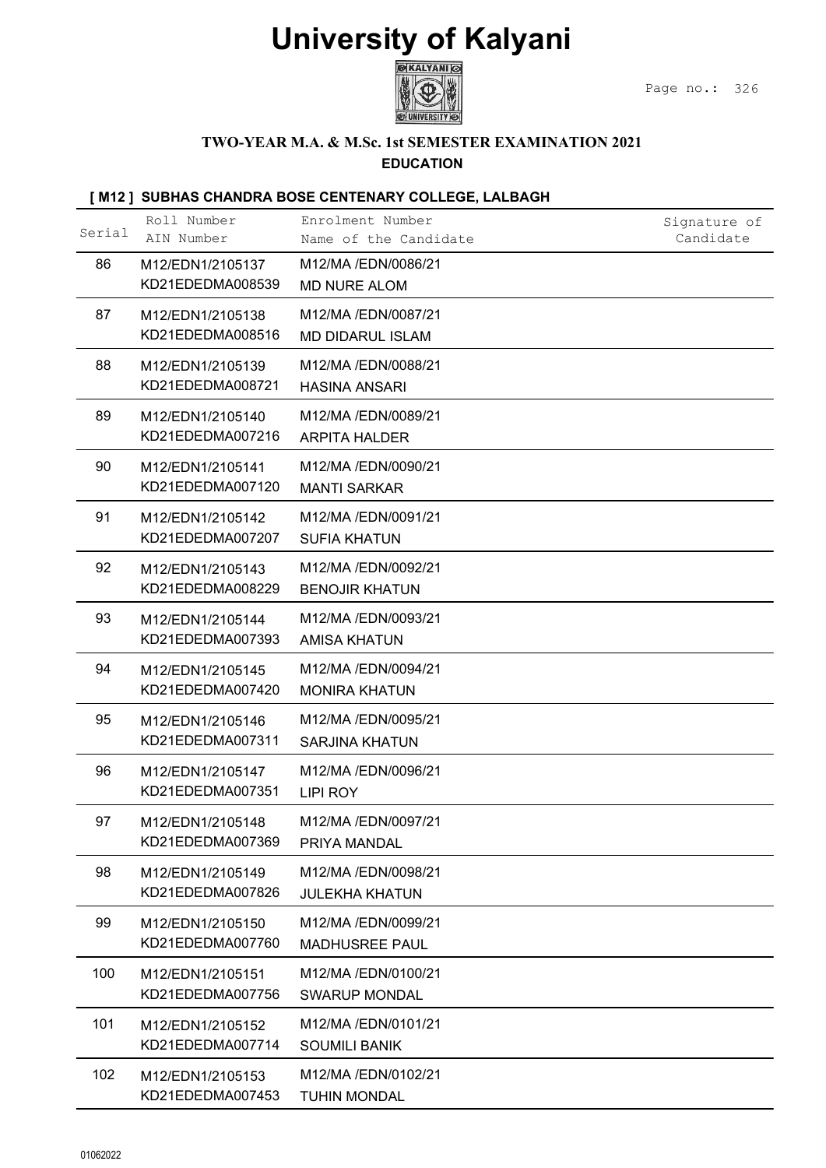

#### TWO-YEAR M.A. & M.Sc. 1st SEMESTER EXAMINATION 2021 EDUCATION

| <b>University of Kalyani</b><br><b>GEXALYANI</b><br>Page no.: 326<br>TWO-YEAR M.A. & M.Sc. 1st SEMESTER EXAMINATION 2021<br><b>EDUCATION</b><br>[M12] SUBHAS CHANDRA BOSE CENTENARY COLLEGE, LALBAGH<br>Roll Number<br>Enrolment Number<br>Signature of<br>Serial<br>AIN Number<br>Candidate<br>Name of the Candidate<br>86<br>M12/MA /EDN/0086/21<br>M12/EDN1/2105137<br>KD21EDEDMA008539<br><b>MD NURE ALOM</b><br>87<br>M12/MA /EDN/0087/21<br>M12/EDN1/2105138<br>KD21EDEDMA008516<br><b>MD DIDARUL ISLAM</b><br>88<br>M12/MA /EDN/0088/21<br>M12/EDN1/2105139<br>KD21EDEDMA008721<br><b>HASINA ANSARI</b><br>89<br>M12/MA /EDN/0089/21<br>M12/EDN1/2105140<br>KD21EDEDMA007216<br><b>ARPITA HALDER</b><br>90<br>M12/MA /EDN/0090/21<br>M12/EDN1/2105141<br>KD21EDEDMA007120<br><b>MANTI SARKAR</b><br>91<br>M12/MA /EDN/0091/21<br>M12/EDN1/2105142<br>KD21EDEDMA007207<br><b>SUFIA KHATUN</b><br>92<br>M12/MA /EDN/0092/21<br>M12/EDN1/2105143<br>KD21EDEDMA008229<br><b>BENOJIR KHATUN</b><br>93<br>M12/MA /EDN/0093/21<br>M12/EDN1/2105144<br>KD21EDEDMA007393<br><b>AMISA KHATUN</b><br>94<br>M12/MA /EDN/0094/21<br>M12/EDN1/2105145<br>KD21EDEDMA007420<br><b>MONIRA KHATUN</b><br>95<br>M12/MA /EDN/0095/21<br>M12/EDN1/2105146<br>KD21EDEDMA007311<br><b>SARJINA KHATUN</b><br>96<br>M12/MA /EDN/0096/21<br>M12/EDN1/2105147<br>KD21EDEDMA007351<br>LIPI ROY<br>97<br>M12/MA /EDN/0097/21<br>M12/EDN1/2105148<br>KD21EDEDMA007369<br>PRIYA MANDAL<br>98<br>M12/MA /EDN/0098/21<br>M12/EDN1/2105149<br>KD21EDEDMA007826<br><b>JULEKHA KHATUN</b><br>99<br>M12/MA /EDN/0099/21<br>M12/EDN1/2105150<br>KD21EDEDMA007760<br><b>MADHUSREE PAUL</b><br>100<br>M12/MA /EDN/0100/21<br>M12/EDN1/2105151<br>KD21EDEDMA007756<br><b>SWARUP MONDAL</b><br>101<br>M12/MA/EDN/0101/21<br>M12/EDN1/2105152<br>KD21EDEDMA007714<br><b>SOUMILI BANIK</b><br>102<br>M12/MA /EDN/0102/21<br>M12/EDN1/2105153<br>KD21EDEDMA007453<br><b>TUHIN MONDAL</b> |          |  |  |
|----------------------------------------------------------------------------------------------------------------------------------------------------------------------------------------------------------------------------------------------------------------------------------------------------------------------------------------------------------------------------------------------------------------------------------------------------------------------------------------------------------------------------------------------------------------------------------------------------------------------------------------------------------------------------------------------------------------------------------------------------------------------------------------------------------------------------------------------------------------------------------------------------------------------------------------------------------------------------------------------------------------------------------------------------------------------------------------------------------------------------------------------------------------------------------------------------------------------------------------------------------------------------------------------------------------------------------------------------------------------------------------------------------------------------------------------------------------------------------------------------------------------------------------------------------------------------------------------------------------------------------------------------------------------------------------------------------------------------------------------------------------------------------------------------------------------------------------------------------------------------------------------------------------------------------------------------|----------|--|--|
|                                                                                                                                                                                                                                                                                                                                                                                                                                                                                                                                                                                                                                                                                                                                                                                                                                                                                                                                                                                                                                                                                                                                                                                                                                                                                                                                                                                                                                                                                                                                                                                                                                                                                                                                                                                                                                                                                                                                                    |          |  |  |
|                                                                                                                                                                                                                                                                                                                                                                                                                                                                                                                                                                                                                                                                                                                                                                                                                                                                                                                                                                                                                                                                                                                                                                                                                                                                                                                                                                                                                                                                                                                                                                                                                                                                                                                                                                                                                                                                                                                                                    |          |  |  |
|                                                                                                                                                                                                                                                                                                                                                                                                                                                                                                                                                                                                                                                                                                                                                                                                                                                                                                                                                                                                                                                                                                                                                                                                                                                                                                                                                                                                                                                                                                                                                                                                                                                                                                                                                                                                                                                                                                                                                    |          |  |  |
|                                                                                                                                                                                                                                                                                                                                                                                                                                                                                                                                                                                                                                                                                                                                                                                                                                                                                                                                                                                                                                                                                                                                                                                                                                                                                                                                                                                                                                                                                                                                                                                                                                                                                                                                                                                                                                                                                                                                                    |          |  |  |
|                                                                                                                                                                                                                                                                                                                                                                                                                                                                                                                                                                                                                                                                                                                                                                                                                                                                                                                                                                                                                                                                                                                                                                                                                                                                                                                                                                                                                                                                                                                                                                                                                                                                                                                                                                                                                                                                                                                                                    |          |  |  |
|                                                                                                                                                                                                                                                                                                                                                                                                                                                                                                                                                                                                                                                                                                                                                                                                                                                                                                                                                                                                                                                                                                                                                                                                                                                                                                                                                                                                                                                                                                                                                                                                                                                                                                                                                                                                                                                                                                                                                    |          |  |  |
|                                                                                                                                                                                                                                                                                                                                                                                                                                                                                                                                                                                                                                                                                                                                                                                                                                                                                                                                                                                                                                                                                                                                                                                                                                                                                                                                                                                                                                                                                                                                                                                                                                                                                                                                                                                                                                                                                                                                                    |          |  |  |
|                                                                                                                                                                                                                                                                                                                                                                                                                                                                                                                                                                                                                                                                                                                                                                                                                                                                                                                                                                                                                                                                                                                                                                                                                                                                                                                                                                                                                                                                                                                                                                                                                                                                                                                                                                                                                                                                                                                                                    |          |  |  |
|                                                                                                                                                                                                                                                                                                                                                                                                                                                                                                                                                                                                                                                                                                                                                                                                                                                                                                                                                                                                                                                                                                                                                                                                                                                                                                                                                                                                                                                                                                                                                                                                                                                                                                                                                                                                                                                                                                                                                    |          |  |  |
|                                                                                                                                                                                                                                                                                                                                                                                                                                                                                                                                                                                                                                                                                                                                                                                                                                                                                                                                                                                                                                                                                                                                                                                                                                                                                                                                                                                                                                                                                                                                                                                                                                                                                                                                                                                                                                                                                                                                                    |          |  |  |
|                                                                                                                                                                                                                                                                                                                                                                                                                                                                                                                                                                                                                                                                                                                                                                                                                                                                                                                                                                                                                                                                                                                                                                                                                                                                                                                                                                                                                                                                                                                                                                                                                                                                                                                                                                                                                                                                                                                                                    |          |  |  |
|                                                                                                                                                                                                                                                                                                                                                                                                                                                                                                                                                                                                                                                                                                                                                                                                                                                                                                                                                                                                                                                                                                                                                                                                                                                                                                                                                                                                                                                                                                                                                                                                                                                                                                                                                                                                                                                                                                                                                    |          |  |  |
|                                                                                                                                                                                                                                                                                                                                                                                                                                                                                                                                                                                                                                                                                                                                                                                                                                                                                                                                                                                                                                                                                                                                                                                                                                                                                                                                                                                                                                                                                                                                                                                                                                                                                                                                                                                                                                                                                                                                                    |          |  |  |
|                                                                                                                                                                                                                                                                                                                                                                                                                                                                                                                                                                                                                                                                                                                                                                                                                                                                                                                                                                                                                                                                                                                                                                                                                                                                                                                                                                                                                                                                                                                                                                                                                                                                                                                                                                                                                                                                                                                                                    |          |  |  |
|                                                                                                                                                                                                                                                                                                                                                                                                                                                                                                                                                                                                                                                                                                                                                                                                                                                                                                                                                                                                                                                                                                                                                                                                                                                                                                                                                                                                                                                                                                                                                                                                                                                                                                                                                                                                                                                                                                                                                    |          |  |  |
|                                                                                                                                                                                                                                                                                                                                                                                                                                                                                                                                                                                                                                                                                                                                                                                                                                                                                                                                                                                                                                                                                                                                                                                                                                                                                                                                                                                                                                                                                                                                                                                                                                                                                                                                                                                                                                                                                                                                                    |          |  |  |
|                                                                                                                                                                                                                                                                                                                                                                                                                                                                                                                                                                                                                                                                                                                                                                                                                                                                                                                                                                                                                                                                                                                                                                                                                                                                                                                                                                                                                                                                                                                                                                                                                                                                                                                                                                                                                                                                                                                                                    |          |  |  |
|                                                                                                                                                                                                                                                                                                                                                                                                                                                                                                                                                                                                                                                                                                                                                                                                                                                                                                                                                                                                                                                                                                                                                                                                                                                                                                                                                                                                                                                                                                                                                                                                                                                                                                                                                                                                                                                                                                                                                    |          |  |  |
|                                                                                                                                                                                                                                                                                                                                                                                                                                                                                                                                                                                                                                                                                                                                                                                                                                                                                                                                                                                                                                                                                                                                                                                                                                                                                                                                                                                                                                                                                                                                                                                                                                                                                                                                                                                                                                                                                                                                                    |          |  |  |
|                                                                                                                                                                                                                                                                                                                                                                                                                                                                                                                                                                                                                                                                                                                                                                                                                                                                                                                                                                                                                                                                                                                                                                                                                                                                                                                                                                                                                                                                                                                                                                                                                                                                                                                                                                                                                                                                                                                                                    |          |  |  |
|                                                                                                                                                                                                                                                                                                                                                                                                                                                                                                                                                                                                                                                                                                                                                                                                                                                                                                                                                                                                                                                                                                                                                                                                                                                                                                                                                                                                                                                                                                                                                                                                                                                                                                                                                                                                                                                                                                                                                    |          |  |  |
|                                                                                                                                                                                                                                                                                                                                                                                                                                                                                                                                                                                                                                                                                                                                                                                                                                                                                                                                                                                                                                                                                                                                                                                                                                                                                                                                                                                                                                                                                                                                                                                                                                                                                                                                                                                                                                                                                                                                                    |          |  |  |
|                                                                                                                                                                                                                                                                                                                                                                                                                                                                                                                                                                                                                                                                                                                                                                                                                                                                                                                                                                                                                                                                                                                                                                                                                                                                                                                                                                                                                                                                                                                                                                                                                                                                                                                                                                                                                                                                                                                                                    | 01062022 |  |  |
|                                                                                                                                                                                                                                                                                                                                                                                                                                                                                                                                                                                                                                                                                                                                                                                                                                                                                                                                                                                                                                                                                                                                                                                                                                                                                                                                                                                                                                                                                                                                                                                                                                                                                                                                                                                                                                                                                                                                                    |          |  |  |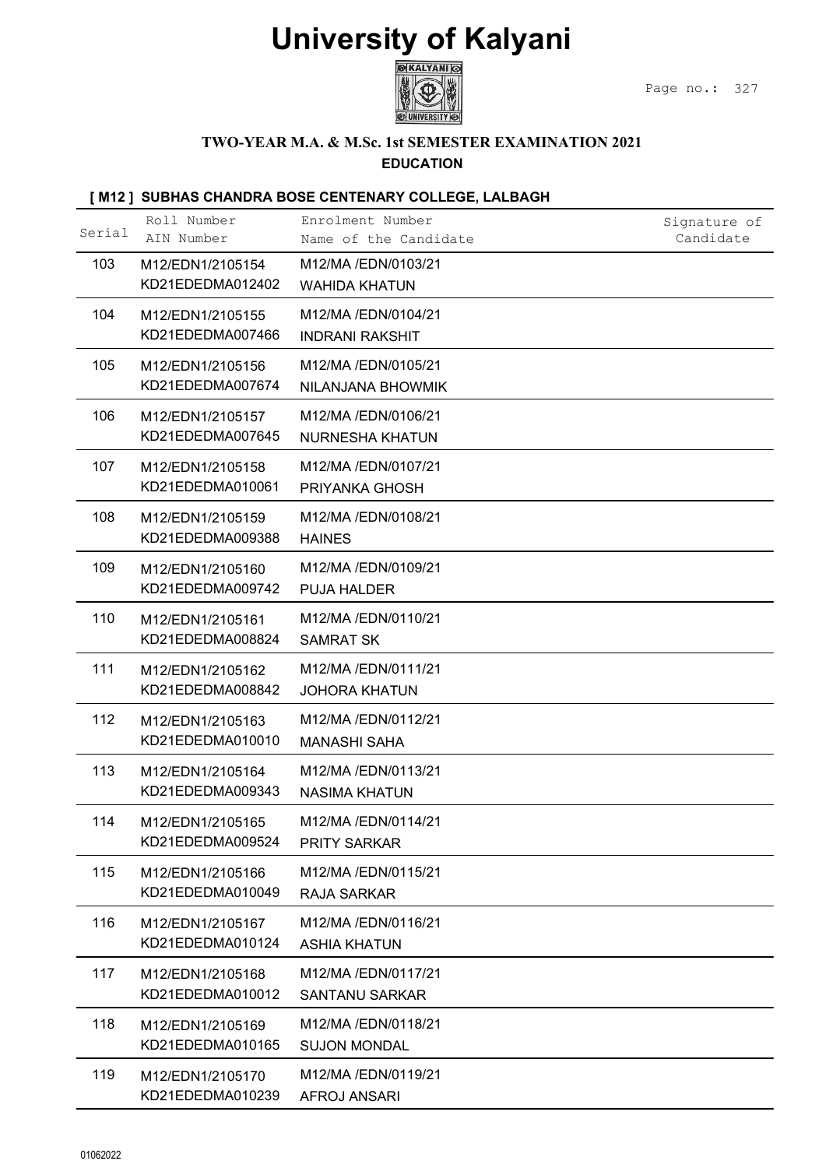

#### TWO-YEAR M.A. & M.Sc. 1st SEMESTER EXAMINATION 2021 EDUCATION

|          |                                      | <b>University of Kalyani</b><br><b>GKALYANI</b>                          |               |
|----------|--------------------------------------|--------------------------------------------------------------------------|---------------|
|          |                                      | <b>TWO-YEAR M.A. &amp; M.Sc. 1st SEMESTER EXAMINATION 2021</b>           | Page no.: 327 |
|          |                                      | <b>EDUCATION</b>                                                         |               |
|          | Roll Number                          | [M12] SUBHAS CHANDRA BOSE CENTENARY COLLEGE, LALBAGH<br>Enrolment Number | Signature of  |
| Serial   | AIN Number                           | Name of the Candidate                                                    | Candidate     |
| 103      | M12/EDN1/2105154<br>KD21EDEDMA012402 | M12/MA /EDN/0103/21<br><b>WAHIDA KHATUN</b>                              |               |
| 104      | M12/EDN1/2105155<br>KD21EDEDMA007466 | M12/MA /EDN/0104/21<br><b>INDRANI RAKSHIT</b>                            |               |
| 105      | M12/EDN1/2105156<br>KD21EDEDMA007674 | M12/MA /EDN/0105/21<br>NILANJANA BHOWMIK                                 |               |
| 106      | M12/EDN1/2105157<br>KD21EDEDMA007645 | M12/MA /EDN/0106/21<br><b>NURNESHA KHATUN</b>                            |               |
| 107      | M12/EDN1/2105158<br>KD21EDEDMA010061 | M12/MA /EDN/0107/21<br>PRIYANKA GHOSH                                    |               |
| 108      | M12/EDN1/2105159<br>KD21EDEDMA009388 | M12/MA /EDN/0108/21<br><b>HAINES</b>                                     |               |
| 109      | M12/EDN1/2105160<br>KD21EDEDMA009742 | M12/MA /EDN/0109/21<br>PUJA HALDER                                       |               |
| 110      | M12/EDN1/2105161<br>KD21EDEDMA008824 | M12/MA/EDN/0110/21<br><b>SAMRAT SK</b>                                   |               |
| 111      | M12/EDN1/2105162<br>KD21EDEDMA008842 | M12/MA /EDN/0111/21<br><b>JOHORA KHATUN</b>                              |               |
| 112      | M12/EDN1/2105163<br>KD21EDEDMA010010 | M12/MA /EDN/0112/21<br><b>MANASHI SAHA</b>                               |               |
| 113      | M12/EDN1/2105164<br>KD21EDEDMA009343 | M12/MA /EDN/0113/21<br><b>NASIMA KHATUN</b>                              |               |
| 114      | M12/EDN1/2105165<br>KD21EDEDMA009524 | M12/MA /EDN/0114/21<br><b>PRITY SARKAR</b>                               |               |
| 115      | M12/EDN1/2105166<br>KD21EDEDMA010049 | M12/MA /EDN/0115/21<br>RAJA SARKAR                                       |               |
| 116      | M12/EDN1/2105167<br>KD21EDEDMA010124 | M12/MA /EDN/0116/21<br><b>ASHIA KHATUN</b>                               |               |
| 117      | M12/EDN1/2105168<br>KD21EDEDMA010012 | M12/MA /EDN/0117/21<br><b>SANTANU SARKAR</b>                             |               |
| 118      | M12/EDN1/2105169<br>KD21EDEDMA010165 | M12/MA /EDN/0118/21<br><b>SUJON MONDAL</b>                               |               |
| 119      | M12/EDN1/2105170<br>KD21EDEDMA010239 | M12/MA /EDN/0119/21<br><b>AFROJ ANSARI</b>                               |               |
|          |                                      |                                                                          |               |
| 01062022 |                                      |                                                                          |               |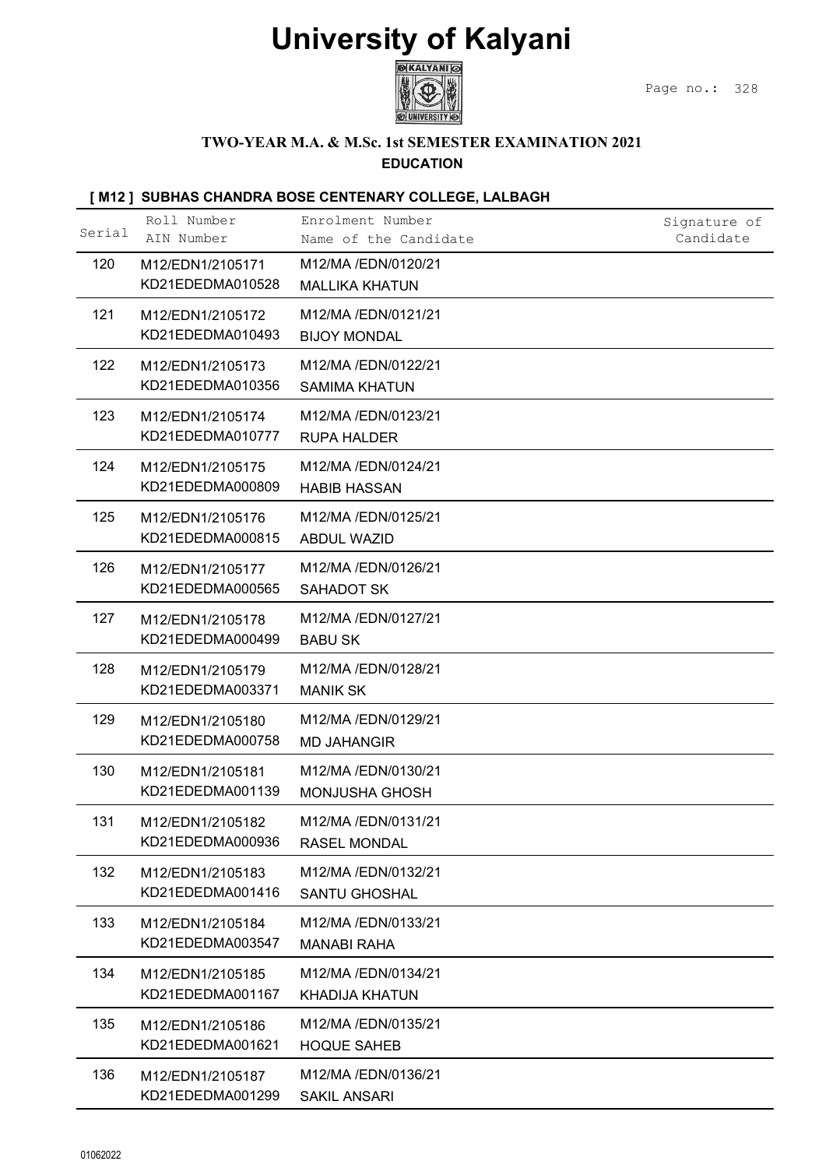

### TWO-YEAR M.A. & M.Sc. 1st SEMESTER EXAMINATION 2021

### EDUCATION

|          |                                      | <b>University of Kalyani</b><br><b>GKALYANI</b>      |                           |
|----------|--------------------------------------|------------------------------------------------------|---------------------------|
|          |                                      | TWO-YEAR M.A. & M.Sc. 1st SEMESTER EXAMINATION 2021  | Page no.: 328             |
|          |                                      | <b>EDUCATION</b>                                     |                           |
|          |                                      | [M12] SUBHAS CHANDRA BOSE CENTENARY COLLEGE, LALBAGH |                           |
| Serial   | Roll Number<br>AIN Number            | Enrolment Number<br>Name of the Candidate            | Signature of<br>Candidate |
| 120      | M12/EDN1/2105171<br>KD21EDEDMA010528 | M12/MA /EDN/0120/21<br><b>MALLIKA KHATUN</b>         |                           |
| 121      | M12/EDN1/2105172<br>KD21EDEDMA010493 | M12/MA /EDN/0121/21<br><b>BIJOY MONDAL</b>           |                           |
| 122      | M12/EDN1/2105173<br>KD21EDEDMA010356 | M12/MA /EDN/0122/21<br><b>SAMIMA KHATUN</b>          |                           |
| 123      | M12/EDN1/2105174<br>KD21EDEDMA010777 | M12/MA /EDN/0123/21<br><b>RUPA HALDER</b>            |                           |
| 124      | M12/EDN1/2105175<br>KD21EDEDMA000809 | M12/MA /EDN/0124/21<br><b>HABIB HASSAN</b>           |                           |
| 125      | M12/EDN1/2105176<br>KD21EDEDMA000815 | M12/MA /EDN/0125/21                                  |                           |
| 126      | M12/EDN1/2105177                     | <b>ABDUL WAZID</b><br>M12/MA /EDN/0126/21            |                           |
| 127      | KD21EDEDMA000565<br>M12/EDN1/2105178 | SAHADOT SK<br>M12/MA /EDN/0127/21                    |                           |
|          | KD21EDEDMA000499                     | <b>BABU SK</b>                                       |                           |
| 128      | M12/EDN1/2105179<br>KD21EDEDMA003371 | M12/MA /EDN/0128/21<br><b>MANIK SK</b>               |                           |
| 129      | M12/EDN1/2105180<br>KD21EDEDMA000758 | M12/MA /EDN/0129/21<br><b>MD JAHANGIR</b>            |                           |
| 130      | M12/EDN1/2105181<br>KD21EDEDMA001139 | M12/MA /EDN/0130/21<br><b>MONJUSHA GHOSH</b>         |                           |
| 131      | M12/EDN1/2105182<br>KD21EDEDMA000936 | M12/MA /EDN/0131/21<br><b>RASEL MONDAL</b>           |                           |
| 132      | M12/EDN1/2105183<br>KD21EDEDMA001416 | M12/MA /EDN/0132/21<br><b>SANTU GHOSHAL</b>          |                           |
| 133      | M12/EDN1/2105184                     | M12/MA /EDN/0133/21                                  |                           |
| 134      | KD21EDEDMA003547<br>M12/EDN1/2105185 | <b>MANABI RAHA</b><br>M12/MA /EDN/0134/21            |                           |
| 135      | KD21EDEDMA001167<br>M12/EDN1/2105186 | <b>KHADIJA KHATUN</b><br>M12/MA /EDN/0135/21         |                           |
| 136      | KD21EDEDMA001621<br>M12/EDN1/2105187 | <b>HOQUE SAHEB</b><br>M12/MA /EDN/0136/21            |                           |
|          | KD21EDEDMA001299                     | <b>SAKIL ANSARI</b>                                  |                           |
|          |                                      |                                                      |                           |
| 01062022 |                                      |                                                      |                           |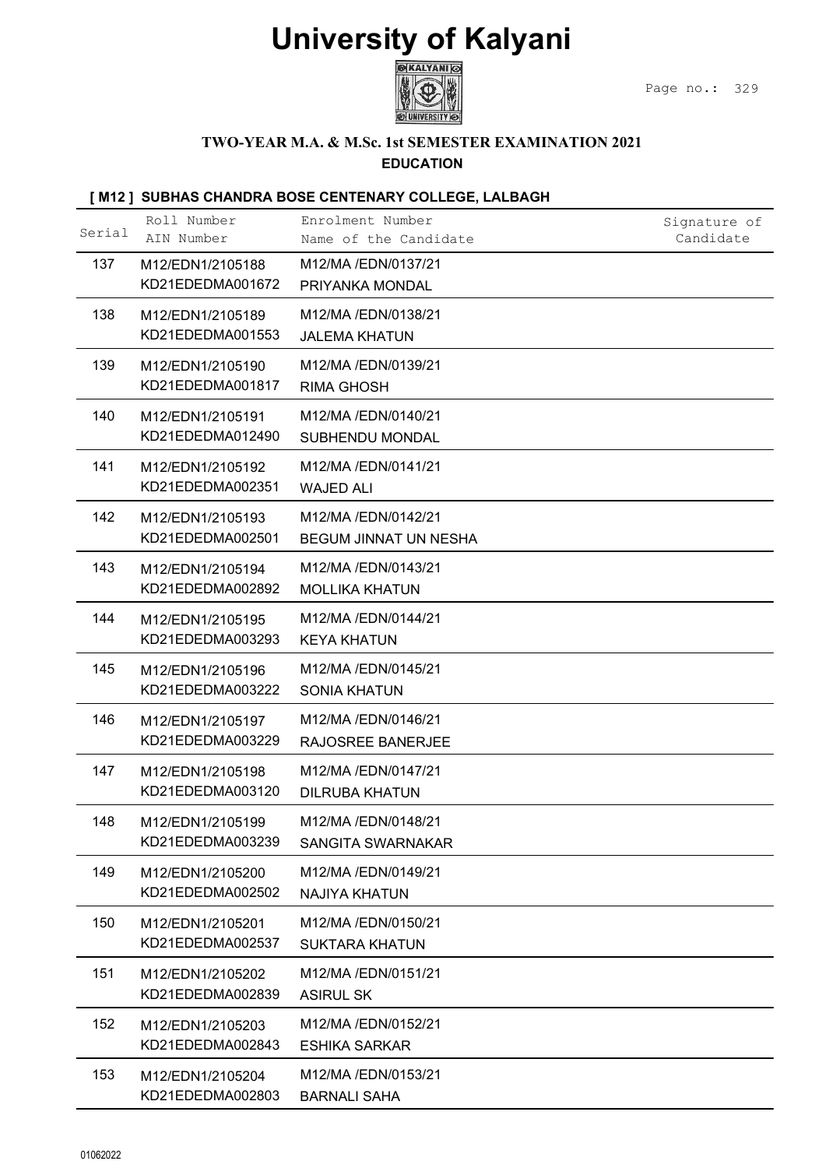

### TWO-YEAR M.A. & M.Sc. 1st SEMESTER EXAMINATION 2021

### EDUCATION

| <b>University of Kalyani</b><br><b>GEXALYANI</b><br>Page no.: 329<br>TWO-YEAR M.A. & M.Sc. 1st SEMESTER EXAMINATION 2021<br><b>EDUCATION</b><br>[M12] SUBHAS CHANDRA BOSE CENTENARY COLLEGE, LALBAGH<br>Roll Number<br>Enrolment Number<br>Signature of<br>Serial<br>AIN Number<br>Candidate<br>Name of the Candidate<br>137<br>M12/MA /EDN/0137/21<br>M12/EDN1/2105188<br>KD21EDEDMA001672<br>PRIYANKA MONDAL<br>138<br>M12/MA /EDN/0138/21<br>M12/EDN1/2105189<br>KD21EDEDMA001553<br><b>JALEMA KHATUN</b><br>139<br>M12/MA /EDN/0139/21<br>M12/EDN1/2105190<br>KD21EDEDMA001817<br><b>RIMA GHOSH</b><br>140<br>M12/MA /EDN/0140/21<br>M12/EDN1/2105191<br>KD21EDEDMA012490<br>SUBHENDU MONDAL<br>141<br>M12/MA /EDN/0141/21<br>M12/EDN1/2105192<br>KD21EDEDMA002351<br><b>WAJED ALI</b><br>142<br>M12/MA /EDN/0142/21<br>M12/EDN1/2105193<br>KD21EDEDMA002501<br>BEGUM JINNAT UN NESHA<br>143<br>M12/MA /EDN/0143/21<br>M12/EDN1/2105194<br>KD21EDEDMA002892<br><b>MOLLIKA KHATUN</b><br>M12/MA /EDN/0144/21<br>144<br>M12/EDN1/2105195<br>KD21EDEDMA003293<br><b>KEYA KHATUN</b><br>145<br>M12/MA /EDN/0145/21<br>M12/EDN1/2105196<br>KD21EDEDMA003222<br><b>SONIA KHATUN</b><br>146<br>M12/MA /EDN/0146/21<br>M12/EDN1/2105197<br>KD21EDEDMA003229<br>RAJOSREE BANERJEE<br>147<br>M12/MA /EDN/0147/21<br>M12/EDN1/2105198<br>KD21EDEDMA003120<br><b>DILRUBA KHATUN</b><br>148<br>M12/MA /EDN/0148/21<br>M12/EDN1/2105199<br>KD21EDEDMA003239<br>SANGITA SWARNAKAR<br>149<br>M12/MA /EDN/0149/21<br>M12/EDN1/2105200<br>KD21EDEDMA002502<br><b>NAJIYA KHATUN</b><br>150<br>M12/MA /EDN/0150/21<br>M12/EDN1/2105201<br>KD21EDEDMA002537<br><b>SUKTARA KHATUN</b><br>151<br>M12/MA /EDN/0151/21<br>M12/EDN1/2105202<br>KD21EDEDMA002839<br><b>ASIRUL SK</b><br>152<br>M12/MA /EDN/0152/21<br>M12/EDN1/2105203<br>KD21EDEDMA002843<br><b>ESHIKA SARKAR</b><br>153<br>M12/MA /EDN/0153/21<br>M12/EDN1/2105204 | KD21EDEDMA002803<br><b>BARNALI SAHA</b> |          |  |  |
|---------------------------------------------------------------------------------------------------------------------------------------------------------------------------------------------------------------------------------------------------------------------------------------------------------------------------------------------------------------------------------------------------------------------------------------------------------------------------------------------------------------------------------------------------------------------------------------------------------------------------------------------------------------------------------------------------------------------------------------------------------------------------------------------------------------------------------------------------------------------------------------------------------------------------------------------------------------------------------------------------------------------------------------------------------------------------------------------------------------------------------------------------------------------------------------------------------------------------------------------------------------------------------------------------------------------------------------------------------------------------------------------------------------------------------------------------------------------------------------------------------------------------------------------------------------------------------------------------------------------------------------------------------------------------------------------------------------------------------------------------------------------------------------------------------------------------------------------------------------------------------------------------------------|-----------------------------------------|----------|--|--|
|                                                                                                                                                                                                                                                                                                                                                                                                                                                                                                                                                                                                                                                                                                                                                                                                                                                                                                                                                                                                                                                                                                                                                                                                                                                                                                                                                                                                                                                                                                                                                                                                                                                                                                                                                                                                                                                                                                               |                                         |          |  |  |
|                                                                                                                                                                                                                                                                                                                                                                                                                                                                                                                                                                                                                                                                                                                                                                                                                                                                                                                                                                                                                                                                                                                                                                                                                                                                                                                                                                                                                                                                                                                                                                                                                                                                                                                                                                                                                                                                                                               |                                         |          |  |  |
|                                                                                                                                                                                                                                                                                                                                                                                                                                                                                                                                                                                                                                                                                                                                                                                                                                                                                                                                                                                                                                                                                                                                                                                                                                                                                                                                                                                                                                                                                                                                                                                                                                                                                                                                                                                                                                                                                                               |                                         |          |  |  |
|                                                                                                                                                                                                                                                                                                                                                                                                                                                                                                                                                                                                                                                                                                                                                                                                                                                                                                                                                                                                                                                                                                                                                                                                                                                                                                                                                                                                                                                                                                                                                                                                                                                                                                                                                                                                                                                                                                               |                                         |          |  |  |
|                                                                                                                                                                                                                                                                                                                                                                                                                                                                                                                                                                                                                                                                                                                                                                                                                                                                                                                                                                                                                                                                                                                                                                                                                                                                                                                                                                                                                                                                                                                                                                                                                                                                                                                                                                                                                                                                                                               |                                         |          |  |  |
|                                                                                                                                                                                                                                                                                                                                                                                                                                                                                                                                                                                                                                                                                                                                                                                                                                                                                                                                                                                                                                                                                                                                                                                                                                                                                                                                                                                                                                                                                                                                                                                                                                                                                                                                                                                                                                                                                                               |                                         |          |  |  |
|                                                                                                                                                                                                                                                                                                                                                                                                                                                                                                                                                                                                                                                                                                                                                                                                                                                                                                                                                                                                                                                                                                                                                                                                                                                                                                                                                                                                                                                                                                                                                                                                                                                                                                                                                                                                                                                                                                               |                                         |          |  |  |
|                                                                                                                                                                                                                                                                                                                                                                                                                                                                                                                                                                                                                                                                                                                                                                                                                                                                                                                                                                                                                                                                                                                                                                                                                                                                                                                                                                                                                                                                                                                                                                                                                                                                                                                                                                                                                                                                                                               |                                         |          |  |  |
|                                                                                                                                                                                                                                                                                                                                                                                                                                                                                                                                                                                                                                                                                                                                                                                                                                                                                                                                                                                                                                                                                                                                                                                                                                                                                                                                                                                                                                                                                                                                                                                                                                                                                                                                                                                                                                                                                                               |                                         |          |  |  |
|                                                                                                                                                                                                                                                                                                                                                                                                                                                                                                                                                                                                                                                                                                                                                                                                                                                                                                                                                                                                                                                                                                                                                                                                                                                                                                                                                                                                                                                                                                                                                                                                                                                                                                                                                                                                                                                                                                               |                                         |          |  |  |
|                                                                                                                                                                                                                                                                                                                                                                                                                                                                                                                                                                                                                                                                                                                                                                                                                                                                                                                                                                                                                                                                                                                                                                                                                                                                                                                                                                                                                                                                                                                                                                                                                                                                                                                                                                                                                                                                                                               |                                         |          |  |  |
|                                                                                                                                                                                                                                                                                                                                                                                                                                                                                                                                                                                                                                                                                                                                                                                                                                                                                                                                                                                                                                                                                                                                                                                                                                                                                                                                                                                                                                                                                                                                                                                                                                                                                                                                                                                                                                                                                                               |                                         |          |  |  |
|                                                                                                                                                                                                                                                                                                                                                                                                                                                                                                                                                                                                                                                                                                                                                                                                                                                                                                                                                                                                                                                                                                                                                                                                                                                                                                                                                                                                                                                                                                                                                                                                                                                                                                                                                                                                                                                                                                               |                                         |          |  |  |
|                                                                                                                                                                                                                                                                                                                                                                                                                                                                                                                                                                                                                                                                                                                                                                                                                                                                                                                                                                                                                                                                                                                                                                                                                                                                                                                                                                                                                                                                                                                                                                                                                                                                                                                                                                                                                                                                                                               |                                         |          |  |  |
|                                                                                                                                                                                                                                                                                                                                                                                                                                                                                                                                                                                                                                                                                                                                                                                                                                                                                                                                                                                                                                                                                                                                                                                                                                                                                                                                                                                                                                                                                                                                                                                                                                                                                                                                                                                                                                                                                                               |                                         |          |  |  |
|                                                                                                                                                                                                                                                                                                                                                                                                                                                                                                                                                                                                                                                                                                                                                                                                                                                                                                                                                                                                                                                                                                                                                                                                                                                                                                                                                                                                                                                                                                                                                                                                                                                                                                                                                                                                                                                                                                               |                                         |          |  |  |
|                                                                                                                                                                                                                                                                                                                                                                                                                                                                                                                                                                                                                                                                                                                                                                                                                                                                                                                                                                                                                                                                                                                                                                                                                                                                                                                                                                                                                                                                                                                                                                                                                                                                                                                                                                                                                                                                                                               |                                         |          |  |  |
|                                                                                                                                                                                                                                                                                                                                                                                                                                                                                                                                                                                                                                                                                                                                                                                                                                                                                                                                                                                                                                                                                                                                                                                                                                                                                                                                                                                                                                                                                                                                                                                                                                                                                                                                                                                                                                                                                                               |                                         |          |  |  |
|                                                                                                                                                                                                                                                                                                                                                                                                                                                                                                                                                                                                                                                                                                                                                                                                                                                                                                                                                                                                                                                                                                                                                                                                                                                                                                                                                                                                                                                                                                                                                                                                                                                                                                                                                                                                                                                                                                               |                                         |          |  |  |
|                                                                                                                                                                                                                                                                                                                                                                                                                                                                                                                                                                                                                                                                                                                                                                                                                                                                                                                                                                                                                                                                                                                                                                                                                                                                                                                                                                                                                                                                                                                                                                                                                                                                                                                                                                                                                                                                                                               |                                         |          |  |  |
|                                                                                                                                                                                                                                                                                                                                                                                                                                                                                                                                                                                                                                                                                                                                                                                                                                                                                                                                                                                                                                                                                                                                                                                                                                                                                                                                                                                                                                                                                                                                                                                                                                                                                                                                                                                                                                                                                                               |                                         |          |  |  |
|                                                                                                                                                                                                                                                                                                                                                                                                                                                                                                                                                                                                                                                                                                                                                                                                                                                                                                                                                                                                                                                                                                                                                                                                                                                                                                                                                                                                                                                                                                                                                                                                                                                                                                                                                                                                                                                                                                               |                                         | 01062022 |  |  |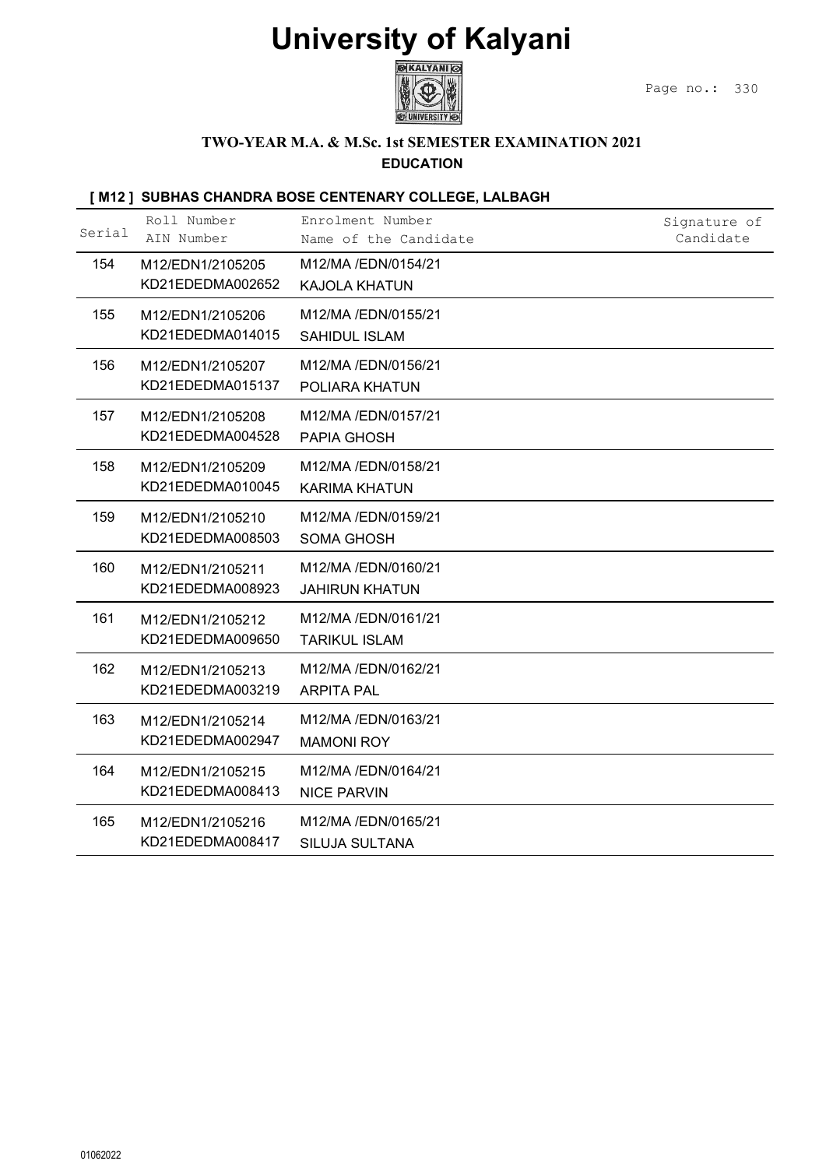

### TWO-YEAR M.A. & M.Sc. 1st SEMESTER EXAMINATION 2021

### EDUCATION

|        |                                      | <b>University of Kalyani</b><br><b>EXALYANI</b>                         |                           |
|--------|--------------------------------------|-------------------------------------------------------------------------|---------------------------|
|        |                                      |                                                                         | Page no.:<br>330          |
|        |                                      | TWO-YEAR M.A. & M.Sc. 1st SEMESTER EXAMINATION 2021<br><b>EDUCATION</b> |                           |
|        |                                      | [M12] SUBHAS CHANDRA BOSE CENTENARY COLLEGE, LALBAGH                    |                           |
| Serial | Roll Number<br>AIN Number            | Enrolment Number<br>Name of the Candidate                               | Signature of<br>Candidate |
| 154    | M12/EDN1/2105205<br>KD21EDEDMA002652 | M12/MA /EDN/0154/21<br><b>KAJOLA KHATUN</b>                             |                           |
| 155    | M12/EDN1/2105206<br>KD21EDEDMA014015 | M12/MA /EDN/0155/21<br>SAHIDUL ISLAM                                    |                           |
| 156    | M12/EDN1/2105207<br>KD21EDEDMA015137 | M12/MA /EDN/0156/21<br>POLIARA KHATUN                                   |                           |
| 157    | M12/EDN1/2105208<br>KD21EDEDMA004528 | M12/MA /EDN/0157/21<br>PAPIA GHOSH                                      |                           |
| 158    | M12/EDN1/2105209<br>KD21EDEDMA010045 | M12/MA /EDN/0158/21<br><b>KARIMA KHATUN</b>                             |                           |
| 159    | M12/EDN1/2105210<br>KD21EDEDMA008503 | M12/MA /EDN/0159/21<br><b>SOMA GHOSH</b>                                |                           |
| 160    | M12/EDN1/2105211<br>KD21EDEDMA008923 | M12/MA /EDN/0160/21<br><b>JAHIRUN KHATUN</b>                            |                           |
| 161    | M12/EDN1/2105212<br>KD21EDEDMA009650 | M12/MA /EDN/0161/21<br><b>TARIKUL ISLAM</b>                             |                           |
| 162    | M12/EDN1/2105213<br>KD21EDEDMA003219 | M12/MA /EDN/0162/21<br><b>ARPITA PAL</b>                                |                           |
| 163    | M12/EDN1/2105214<br>KD21EDEDMA002947 | M12/MA /EDN/0163/21<br><b>MAMONI ROY</b>                                |                           |
| 164    | M12/EDN1/2105215<br>KD21EDEDMA008413 | M12/MA /EDN/0164/21<br><b>NICE PARVIN</b>                               |                           |
| 165    | M12/EDN1/2105216<br>KD21EDEDMA008417 | M12/MA /EDN/0165/21<br>SILUJA SULTANA                                   |                           |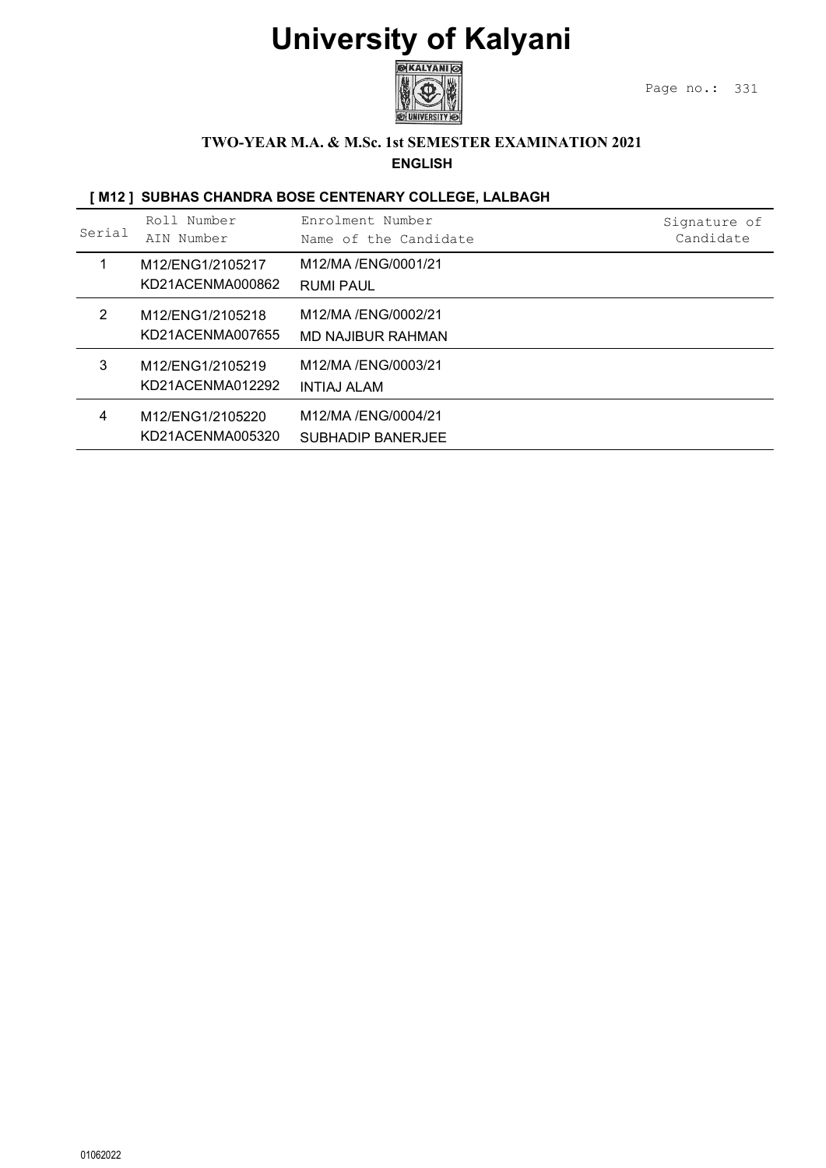

### TWO-YEAR M.A. & M.Sc. 1st SEMESTER EXAMINATION 2021

|                |                                      | <b>University of Kalyani</b><br><b>GIKALYANI</b><br><b>CHUNIVERSITY</b><br><b>TWO-YEAR M.A. &amp; M.Sc. 1st SEMESTER EXAMINATION 2021</b> | Page no.:<br>331          |
|----------------|--------------------------------------|-------------------------------------------------------------------------------------------------------------------------------------------|---------------------------|
|                |                                      | <b>ENGLISH</b><br>[M12] SUBHAS CHANDRA BOSE CENTENARY COLLEGE, LALBAGH                                                                    |                           |
| Serial         | Roll Number<br>AIN Number            | Enrolment Number<br>Name of the Candidate                                                                                                 | Signature of<br>Candidate |
| $\mathbf{1}$   | M12/ENG1/2105217<br>KD21ACENMA000862 | M12/MA /ENG/0001/21<br><b>RUMI PAUL</b>                                                                                                   |                           |
| $\overline{2}$ | M12/ENG1/2105218<br>KD21ACENMA007655 | M12/MA /ENG/0002/21<br>MD NAJIBUR RAHMAN                                                                                                  |                           |
| 3              | M12/ENG1/2105219<br>KD21ACENMA012292 | M12/MA /ENG/0003/21<br><b>INTIAJ ALAM</b>                                                                                                 |                           |
| 4              | M12/ENG1/2105220<br>KD21ACENMA005320 | M12/MA /ENG/0004/21<br><b>SUBHADIP BANERJEE</b>                                                                                           |                           |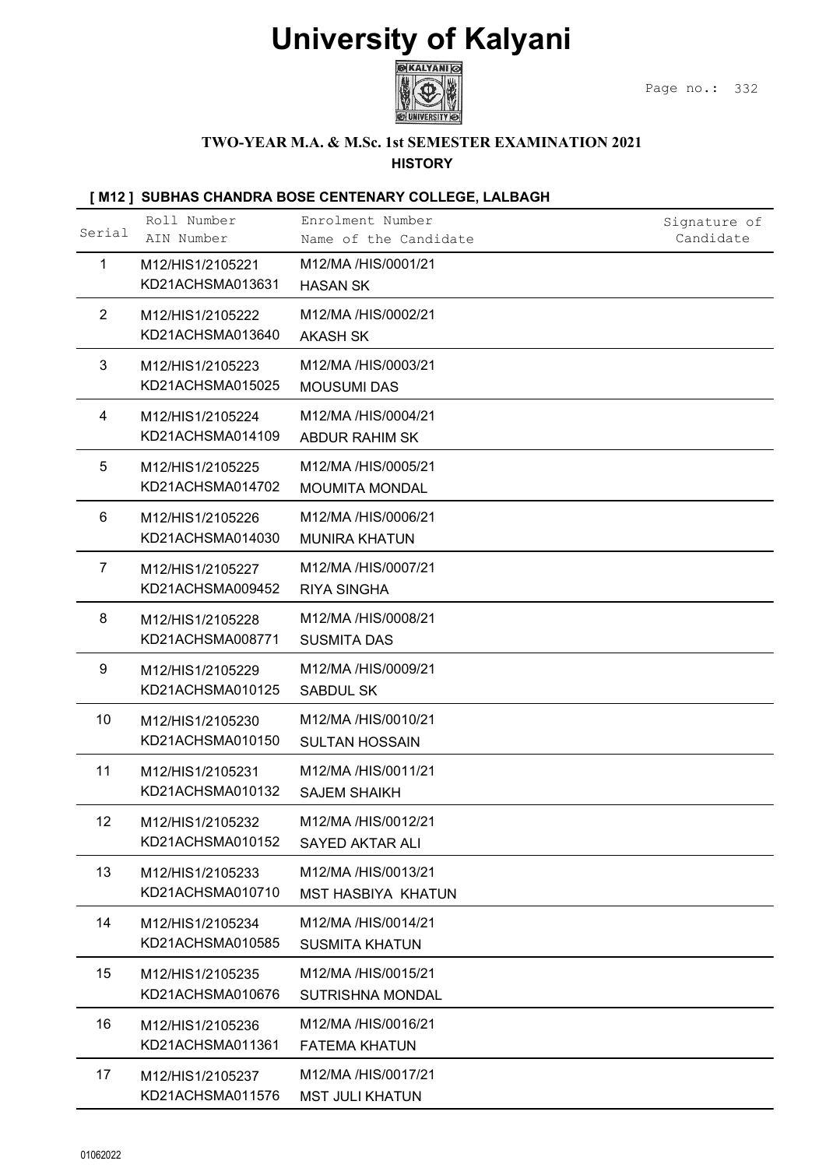

### TWO-YEAR M.A. & M.Sc. 1st SEMESTER EXAMINATION 2021

#### **HISTORY**

|                |                                                          | <b>University of Kalyani</b>                                          |                           |
|----------------|----------------------------------------------------------|-----------------------------------------------------------------------|---------------------------|
|                |                                                          | ®KALYANI ©                                                            | Page no.:<br>332          |
|                |                                                          | TWO-YEAR M.A. & M.Sc. 1st SEMESTER EXAMINATION 2021<br><b>HISTORY</b> |                           |
|                |                                                          | [M12] SUBHAS CHANDRA BOSE CENTENARY COLLEGE, LALBAGH                  |                           |
| Serial         | Roll Number<br>AIN Number                                | Enrolment Number<br>Name of the Candidate                             | Signature of<br>Candidate |
| $\mathbf{1}$   | M12/HIS1/2105221<br>KD21ACHSMA013631                     | M12/MA /HIS/0001/21<br><b>HASAN SK</b>                                |                           |
| $\overline{2}$ | M12/HIS1/2105222                                         | M12/MA /HIS/0002/21                                                   |                           |
| 3              | KD21ACHSMA013640<br>M12/HIS1/2105223<br>KD21ACHSMA015025 | <b>AKASH SK</b><br>M12/MA /HIS/0003/21<br><b>MOUSUMI DAS</b>          |                           |
| 4              | M12/HIS1/2105224<br>KD21ACHSMA014109                     | M12/MA /HIS/0004/21<br><b>ABDUR RAHIM SK</b>                          |                           |
| 5              | M12/HIS1/2105225<br>KD21ACHSMA014702                     | M12/MA /HIS/0005/21<br><b>MOUMITA MONDAL</b>                          |                           |
| 6              | M12/HIS1/2105226<br>KD21ACHSMA014030                     | M12/MA /HIS/0006/21<br><b>MUNIRA KHATUN</b>                           |                           |
| $\overline{7}$ | M12/HIS1/2105227<br>KD21ACHSMA009452                     | M12/MA /HIS/0007/21<br><b>RIYA SINGHA</b>                             |                           |
| 8              | M12/HIS1/2105228<br>KD21ACHSMA008771                     | M12/MA /HIS/0008/21<br><b>SUSMITA DAS</b>                             |                           |
| 9              | M12/HIS1/2105229<br>KD21ACHSMA010125                     | M12/MA /HIS/0009/21<br><b>SABDUL SK</b>                               |                           |
| 10             | M12/HIS1/2105230<br>KD21ACHSMA010150                     | M12/MA /HIS/0010/21<br><b>SULTAN HOSSAIN</b>                          |                           |
| 11             | M12/HIS1/2105231<br>KD21ACHSMA010132                     | M12/MA /HIS/0011/21<br><b>SAJEM SHAIKH</b>                            |                           |
| 12             | M12/HIS1/2105232<br>KD21ACHSMA010152                     | M12/MA /HIS/0012/21<br><b>SAYED AKTAR ALI</b>                         |                           |
| 13             | M12/HIS1/2105233<br>KD21ACHSMA010710                     | M12/MA /HIS/0013/21<br>MST HASBIYA KHATUN                             |                           |
| 14             | M12/HIS1/2105234<br>KD21ACHSMA010585                     | M12/MA /HIS/0014/21<br><b>SUSMITA KHATUN</b>                          |                           |
| 15             | M12/HIS1/2105235<br>KD21ACHSMA010676                     | M12/MA /HIS/0015/21<br>SUTRISHNA MONDAL                               |                           |
| 16             | M12/HIS1/2105236<br>KD21ACHSMA011361                     | M12/MA /HIS/0016/21<br><b>FATEMA KHATUN</b>                           |                           |
| 17             | M12/HIS1/2105237<br>KD21ACHSMA011576                     | M12/MA /HIS/0017/21<br><b>MST JULI KHATUN</b>                         |                           |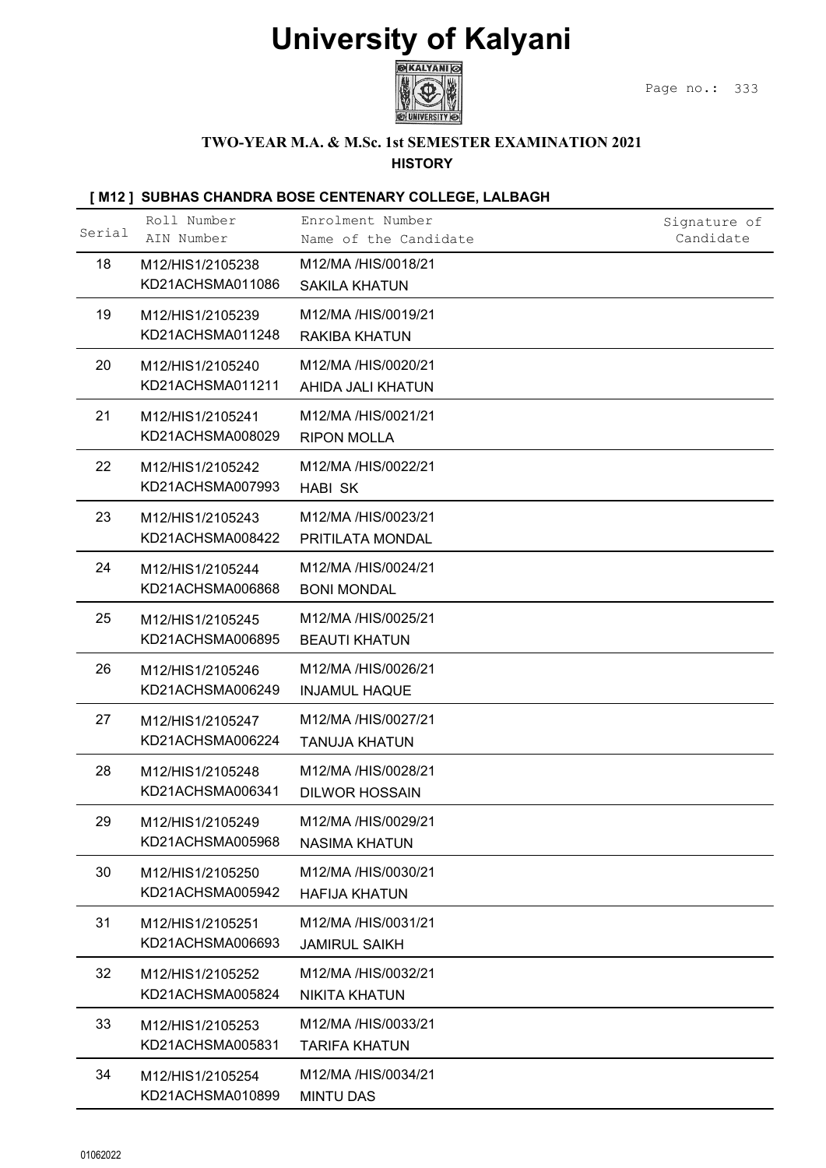

### TWO-YEAR M.A. & M.Sc. 1st SEMESTER EXAMINATION 2021

| <b>University of Kalyani</b><br>®KALYANI ©<br>Page no.:<br>333<br>TWO-YEAR M.A. & M.Sc. 1st SEMESTER EXAMINATION 2021<br><b>HISTORY</b><br>[M12] SUBHAS CHANDRA BOSE CENTENARY COLLEGE, LALBAGH<br>Roll Number<br>Enrolment Number<br>Signature of<br>Serial<br>AIN Number<br>Candidate<br>Name of the Candidate<br>18<br>M12/MA /HIS/0018/21<br>M12/HIS1/2105238<br>KD21ACHSMA011086<br><b>SAKILA KHATUN</b><br>19<br>M12/MA /HIS/0019/21<br>M12/HIS1/2105239<br>KD21ACHSMA011248<br>RAKIBA KHATUN<br>20<br>M12/MA /HIS/0020/21<br>M12/HIS1/2105240<br>KD21ACHSMA011211<br>AHIDA JALI KHATUN<br>21<br>M12/MA /HIS/0021/21<br>M12/HIS1/2105241<br>KD21ACHSMA008029<br><b>RIPON MOLLA</b><br>22<br>M12/MA /HIS/0022/21<br>M12/HIS1/2105242<br>KD21ACHSMA007993<br><b>HABI SK</b><br>23<br>M12/MA /HIS/0023/21<br>M12/HIS1/2105243<br>KD21ACHSMA008422<br>PRITILATA MONDAL<br>24<br>M12/MA /HIS/0024/21<br>M12/HIS1/2105244<br>KD21ACHSMA006868<br><b>BONI MONDAL</b><br>25<br>M12/MA /HIS/0025/21<br>M12/HIS1/2105245<br>KD21ACHSMA006895<br><b>BEAUTI KHATUN</b><br>26<br>M12/MA /HIS/0026/21<br>M12/HIS1/2105246<br>KD21ACHSMA006249<br><b>INJAMUL HAQUE</b><br>M12/MA /HIS/0027/21<br>27<br>M12/HIS1/2105247<br>KD21ACHSMA006224<br><b>TANUJA KHATUN</b><br>28<br>M12/MA /HIS/0028/21<br>M12/HIS1/2105248<br>KD21ACHSMA006341<br><b>DILWOR HOSSAIN</b><br>29<br>M12/MA /HIS/0029/21<br>M12/HIS1/2105249<br>KD21ACHSMA005968<br><b>NASIMA KHATUN</b><br>30<br>M12/MA /HIS/0030/21<br>M12/HIS1/2105250<br>KD21ACHSMA005942<br><b>HAFIJA KHATUN</b><br>31<br>M12/MA /HIS/0031/21<br>M12/HIS1/2105251<br>KD21ACHSMA006693<br><b>JAMIRUL SAIKH</b><br>32<br>M12/MA /HIS/0032/21<br>M12/HIS1/2105252<br>KD21ACHSMA005824<br><b>NIKITA KHATUN</b><br>33<br>M12/MA /HIS/0033/21<br>M12/HIS1/2105253<br>KD21ACHSMA005831<br><b>TARIFA KHATUN</b><br>34<br>M12/MA /HIS/0034/21<br>M12/HIS1/2105254<br>KD21ACHSMA010899<br><b>MINTU DAS</b> |  |  |  |
|------------------------------------------------------------------------------------------------------------------------------------------------------------------------------------------------------------------------------------------------------------------------------------------------------------------------------------------------------------------------------------------------------------------------------------------------------------------------------------------------------------------------------------------------------------------------------------------------------------------------------------------------------------------------------------------------------------------------------------------------------------------------------------------------------------------------------------------------------------------------------------------------------------------------------------------------------------------------------------------------------------------------------------------------------------------------------------------------------------------------------------------------------------------------------------------------------------------------------------------------------------------------------------------------------------------------------------------------------------------------------------------------------------------------------------------------------------------------------------------------------------------------------------------------------------------------------------------------------------------------------------------------------------------------------------------------------------------------------------------------------------------------------------------------------------------------------------------------------------------------------------------------------------------------------------|--|--|--|
|                                                                                                                                                                                                                                                                                                                                                                                                                                                                                                                                                                                                                                                                                                                                                                                                                                                                                                                                                                                                                                                                                                                                                                                                                                                                                                                                                                                                                                                                                                                                                                                                                                                                                                                                                                                                                                                                                                                                    |  |  |  |
|                                                                                                                                                                                                                                                                                                                                                                                                                                                                                                                                                                                                                                                                                                                                                                                                                                                                                                                                                                                                                                                                                                                                                                                                                                                                                                                                                                                                                                                                                                                                                                                                                                                                                                                                                                                                                                                                                                                                    |  |  |  |
|                                                                                                                                                                                                                                                                                                                                                                                                                                                                                                                                                                                                                                                                                                                                                                                                                                                                                                                                                                                                                                                                                                                                                                                                                                                                                                                                                                                                                                                                                                                                                                                                                                                                                                                                                                                                                                                                                                                                    |  |  |  |
|                                                                                                                                                                                                                                                                                                                                                                                                                                                                                                                                                                                                                                                                                                                                                                                                                                                                                                                                                                                                                                                                                                                                                                                                                                                                                                                                                                                                                                                                                                                                                                                                                                                                                                                                                                                                                                                                                                                                    |  |  |  |
|                                                                                                                                                                                                                                                                                                                                                                                                                                                                                                                                                                                                                                                                                                                                                                                                                                                                                                                                                                                                                                                                                                                                                                                                                                                                                                                                                                                                                                                                                                                                                                                                                                                                                                                                                                                                                                                                                                                                    |  |  |  |
|                                                                                                                                                                                                                                                                                                                                                                                                                                                                                                                                                                                                                                                                                                                                                                                                                                                                                                                                                                                                                                                                                                                                                                                                                                                                                                                                                                                                                                                                                                                                                                                                                                                                                                                                                                                                                                                                                                                                    |  |  |  |
|                                                                                                                                                                                                                                                                                                                                                                                                                                                                                                                                                                                                                                                                                                                                                                                                                                                                                                                                                                                                                                                                                                                                                                                                                                                                                                                                                                                                                                                                                                                                                                                                                                                                                                                                                                                                                                                                                                                                    |  |  |  |
|                                                                                                                                                                                                                                                                                                                                                                                                                                                                                                                                                                                                                                                                                                                                                                                                                                                                                                                                                                                                                                                                                                                                                                                                                                                                                                                                                                                                                                                                                                                                                                                                                                                                                                                                                                                                                                                                                                                                    |  |  |  |
|                                                                                                                                                                                                                                                                                                                                                                                                                                                                                                                                                                                                                                                                                                                                                                                                                                                                                                                                                                                                                                                                                                                                                                                                                                                                                                                                                                                                                                                                                                                                                                                                                                                                                                                                                                                                                                                                                                                                    |  |  |  |
|                                                                                                                                                                                                                                                                                                                                                                                                                                                                                                                                                                                                                                                                                                                                                                                                                                                                                                                                                                                                                                                                                                                                                                                                                                                                                                                                                                                                                                                                                                                                                                                                                                                                                                                                                                                                                                                                                                                                    |  |  |  |
|                                                                                                                                                                                                                                                                                                                                                                                                                                                                                                                                                                                                                                                                                                                                                                                                                                                                                                                                                                                                                                                                                                                                                                                                                                                                                                                                                                                                                                                                                                                                                                                                                                                                                                                                                                                                                                                                                                                                    |  |  |  |
|                                                                                                                                                                                                                                                                                                                                                                                                                                                                                                                                                                                                                                                                                                                                                                                                                                                                                                                                                                                                                                                                                                                                                                                                                                                                                                                                                                                                                                                                                                                                                                                                                                                                                                                                                                                                                                                                                                                                    |  |  |  |
|                                                                                                                                                                                                                                                                                                                                                                                                                                                                                                                                                                                                                                                                                                                                                                                                                                                                                                                                                                                                                                                                                                                                                                                                                                                                                                                                                                                                                                                                                                                                                                                                                                                                                                                                                                                                                                                                                                                                    |  |  |  |
|                                                                                                                                                                                                                                                                                                                                                                                                                                                                                                                                                                                                                                                                                                                                                                                                                                                                                                                                                                                                                                                                                                                                                                                                                                                                                                                                                                                                                                                                                                                                                                                                                                                                                                                                                                                                                                                                                                                                    |  |  |  |
|                                                                                                                                                                                                                                                                                                                                                                                                                                                                                                                                                                                                                                                                                                                                                                                                                                                                                                                                                                                                                                                                                                                                                                                                                                                                                                                                                                                                                                                                                                                                                                                                                                                                                                                                                                                                                                                                                                                                    |  |  |  |
|                                                                                                                                                                                                                                                                                                                                                                                                                                                                                                                                                                                                                                                                                                                                                                                                                                                                                                                                                                                                                                                                                                                                                                                                                                                                                                                                                                                                                                                                                                                                                                                                                                                                                                                                                                                                                                                                                                                                    |  |  |  |
|                                                                                                                                                                                                                                                                                                                                                                                                                                                                                                                                                                                                                                                                                                                                                                                                                                                                                                                                                                                                                                                                                                                                                                                                                                                                                                                                                                                                                                                                                                                                                                                                                                                                                                                                                                                                                                                                                                                                    |  |  |  |
|                                                                                                                                                                                                                                                                                                                                                                                                                                                                                                                                                                                                                                                                                                                                                                                                                                                                                                                                                                                                                                                                                                                                                                                                                                                                                                                                                                                                                                                                                                                                                                                                                                                                                                                                                                                                                                                                                                                                    |  |  |  |
|                                                                                                                                                                                                                                                                                                                                                                                                                                                                                                                                                                                                                                                                                                                                                                                                                                                                                                                                                                                                                                                                                                                                                                                                                                                                                                                                                                                                                                                                                                                                                                                                                                                                                                                                                                                                                                                                                                                                    |  |  |  |
|                                                                                                                                                                                                                                                                                                                                                                                                                                                                                                                                                                                                                                                                                                                                                                                                                                                                                                                                                                                                                                                                                                                                                                                                                                                                                                                                                                                                                                                                                                                                                                                                                                                                                                                                                                                                                                                                                                                                    |  |  |  |
|                                                                                                                                                                                                                                                                                                                                                                                                                                                                                                                                                                                                                                                                                                                                                                                                                                                                                                                                                                                                                                                                                                                                                                                                                                                                                                                                                                                                                                                                                                                                                                                                                                                                                                                                                                                                                                                                                                                                    |  |  |  |
|                                                                                                                                                                                                                                                                                                                                                                                                                                                                                                                                                                                                                                                                                                                                                                                                                                                                                                                                                                                                                                                                                                                                                                                                                                                                                                                                                                                                                                                                                                                                                                                                                                                                                                                                                                                                                                                                                                                                    |  |  |  |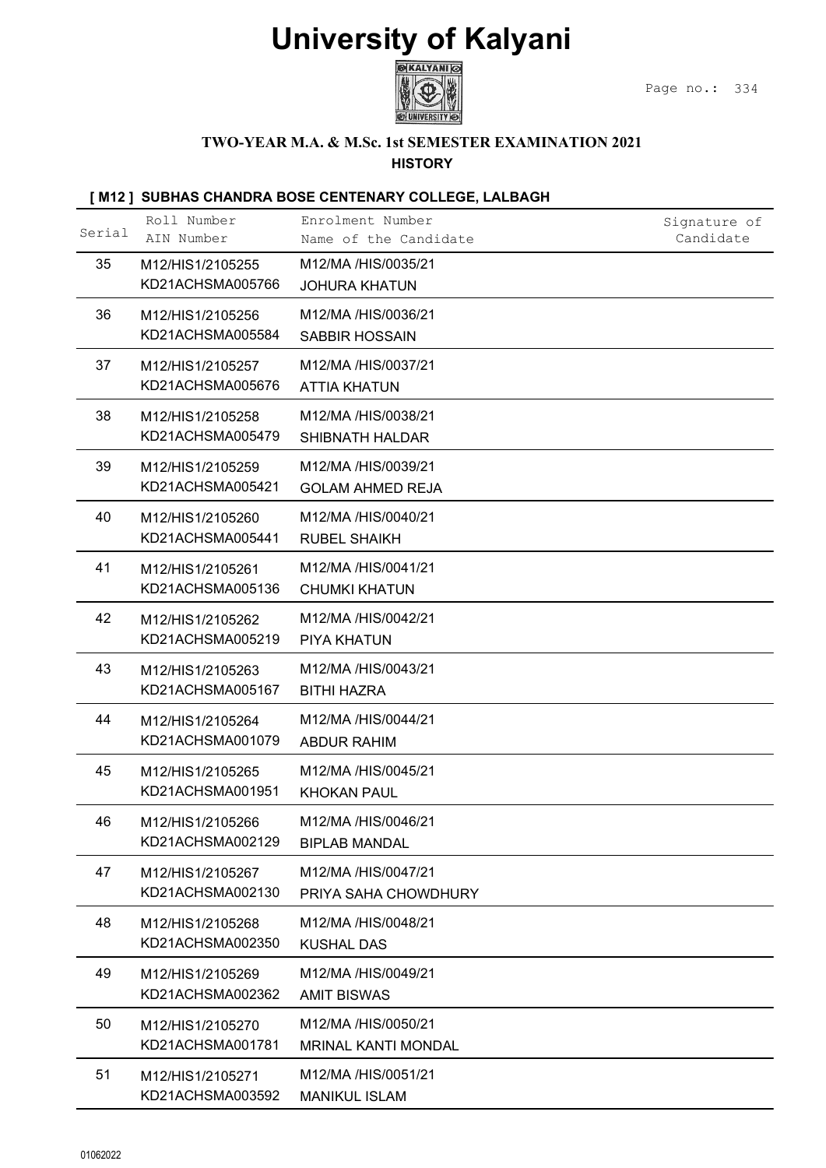

### TWO-YEAR M.A. & M.Sc. 1st SEMESTER EXAMINATION 2021

#### **HISTORY**

|        |                                                          | <b>University of Kalyani</b><br><b>MKALYANI</b>                       | Page no.:<br>334          |
|--------|----------------------------------------------------------|-----------------------------------------------------------------------|---------------------------|
|        |                                                          | TWO-YEAR M.A. & M.Sc. 1st SEMESTER EXAMINATION 2021<br><b>HISTORY</b> |                           |
|        |                                                          | [M12] SUBHAS CHANDRA BOSE CENTENARY COLLEGE, LALBAGH                  |                           |
| Serial | Roll Number<br>AIN Number                                | Enrolment Number<br>Name of the Candidate                             | Signature of<br>Candidate |
| 35     | M12/HIS1/2105255<br>KD21ACHSMA005766                     | M12/MA /HIS/0035/21<br><b>JOHURA KHATUN</b>                           |                           |
| 36     | M12/HIS1/2105256                                         | M12/MA /HIS/0036/21                                                   |                           |
| 37     | KD21ACHSMA005584<br>M12/HIS1/2105257                     | <b>SABBIR HOSSAIN</b><br>M12/MA /HIS/0037/21                          |                           |
| 38     | KD21ACHSMA005676<br>M12/HIS1/2105258                     | <b>ATTIA KHATUN</b><br>M12/MA /HIS/0038/21                            |                           |
| 39     | KD21ACHSMA005479<br>M12/HIS1/2105259<br>KD21ACHSMA005421 | SHIBNATH HALDAR<br>M12/MA /HIS/0039/21                                |                           |
| 40     | M12/HIS1/2105260<br>KD21ACHSMA005441                     | <b>GOLAM AHMED REJA</b><br>M12/MA /HIS/0040/21<br><b>RUBEL SHAIKH</b> |                           |
| 41     | M12/HIS1/2105261<br>KD21ACHSMA005136                     | M12/MA /HIS/0041/21<br><b>CHUMKI KHATUN</b>                           |                           |
| 42     | M12/HIS1/2105262<br>KD21ACHSMA005219                     | M12/MA /HIS/0042/21<br>PIYA KHATUN                                    |                           |
| 43     | M12/HIS1/2105263<br>KD21ACHSMA005167                     | M12/MA /HIS/0043/21<br><b>BITHI HAZRA</b>                             |                           |
| 44     | M12/HIS1/2105264<br>KD21ACHSMA001079                     | M12/MA /HIS/0044/21<br><b>ABDUR RAHIM</b>                             |                           |
| 45     | M12/HIS1/2105265<br>KD21ACHSMA001951                     | M12/MA /HIS/0045/21<br><b>KHOKAN PAUL</b>                             |                           |
| 46     | M12/HIS1/2105266<br>KD21ACHSMA002129                     | M12/MA /HIS/0046/21<br><b>BIPLAB MANDAL</b>                           |                           |
| 47     | M12/HIS1/2105267<br>KD21ACHSMA002130                     | M12/MA /HIS/0047/21<br>PRIYA SAHA CHOWDHURY                           |                           |
| 48     | M12/HIS1/2105268<br>KD21ACHSMA002350                     | M12/MA /HIS/0048/21<br><b>KUSHAL DAS</b>                              |                           |
| 49     | M12/HIS1/2105269<br>KD21ACHSMA002362                     | M12/MA /HIS/0049/21<br><b>AMIT BISWAS</b>                             |                           |
| 50     | M12/HIS1/2105270<br>KD21ACHSMA001781                     | M12/MA /HIS/0050/21<br><b>MRINAL KANTI MONDAL</b>                     |                           |
| 51     | M12/HIS1/2105271<br>KD21ACHSMA003592                     | M12/MA /HIS/0051/21<br><b>MANIKUL ISLAM</b>                           |                           |